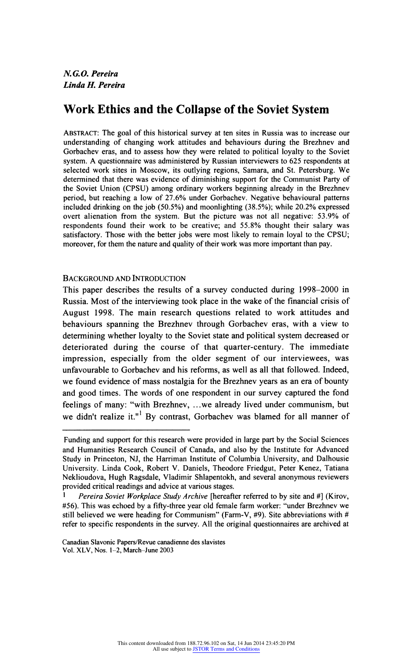## Work Ethics and the Collapse of the Soviet System

Abstract: The goal of this historical survey at ten sites in Russia was to increase our understanding of changing work attitudes and behaviours during the Brezhnev and Gorbachev eras, and to assess how they were related to political loyalty to the Soviet system. A questionnaire was administered by Russian interviewers to 625 respondents at selected work sites in Moscow, its outlying regions, Samara, and St. Petersburg. We determined that there was evidence of diminishing support for the Communist Party of the Soviet Union (CPSU) among ordinary workers beginning already in the Brezhnev period, but reaching a low of 27.6% under Gorbachev. Negative behavioural patterns included drinking on the job (50.5%) and moonlighting (38.5%); while 20.2% expressed overt alienation from the system. But the picture was not all negative: 53.9% of respondents found their work to be creative; and 55.8% thought their salary was satisfactory. Those with the better jobs were most likely to remain loyal to the CPSU; moreover, for them the nature and quality of their work was more important than pay.

## Background and Introduction

This paper describes the results of a survey conducted during 1998-2000 in Russia. Most of the interviewing took place in the wake of the financial crisis of August 1998. The main research questions related to work attitudes and behaviours spanning the Brezhnev through Gorbachev eras, with a view to determining whether loyalty to the Soviet state and political system decreased or deteriorated during the course of that quarter-century. The immediate impression, especially from the older segment of our interviewees, was unfavourable to Gorbachev and his reforms, as well as all that followed. Indeed, we found evidence of mass nostalgia for the Brezhnev years as an era of bounty and good times. The words of one respondent in our survey captured the fond feelings of many: "with Brezhnev, ...we already lived under communism, but we didn't realize it."<sup>1</sup> By contrast, Gorbachev was blamed for all manner of

Funding and support for this research were provided in large part by the Social Sciences and Humanities Research Council of Canada, and also by the Institute for Advanced Study in Princeton, NJ, the Harriman Institute of Columbia University, and Dalhousie University. Linda Cook, Robert V. Daniels, Theodore Friedgut, Peter Kenez, Tatiana Neklioudova, Hugh Ragsdale, Vladimir Shlapentokh, and several anonymous reviewers provided critical readings and advice at various stages.

Pereira Soviet Workplace Study Archive [hereafter referred to by site and #] (Kirov, #56). This was echoed by a fifty-three year old female farm worker: "under Brezhnev we still believed we were heading for Communism" (Farm-V, #9). Site abbreviations with # refer to specific respondents in the survey. All the original questionnaires are archived at

Canadian Slavonic Papers/Revue canadienne des slavistes Vol. XLV, Nos. 1-2, March-June 2003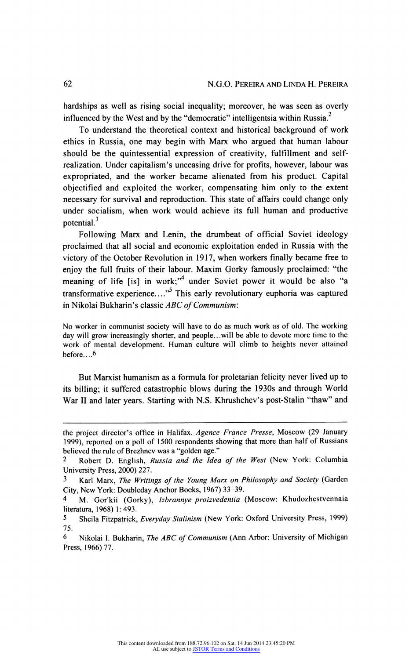hardships as well as rising social inequality; moreover, he was seen as overly influenced by the West and by the "democratic" intelligentsia within Russia.<sup>2</sup>

To understand the theoretical context and historical background of work ethics in Russia, one may begin with Marx who argued that human labour should be the quintessential expression of creativity, fulfillment and selfrealization. Under capitalism's unceasing drive for profits, however, labour was expropriated, and the worker became alienated from his product. Capital objectified and exploited the worker, compensating him only to the extent necessary for survival and reproduction. This state of affairs could change only under socialism, when work would achieve its full human and productive potential. $\frac{3}{2}$ 

Following Marx and Lenin, the drumbeat of official Soviet ideology proclaimed that all social and economic exploitation ended in Russia with the victory of the October Revolution in 1917, when workers finally became free to enjoy the full fruits of their labour. Maxim Gorky famously proclaimed: "the meaning of life [is] in work;<sup>4</sup> under Soviet power it would be also "a transformative experience...."<sup>5</sup> This early revolutionary euphoria was captured in Nikolai Bukharin's classic ABC of Communism:

No worker in communist society will have to do as much work as of old. The working day will grow increasingly shorter, and people... will be able to devote more time to the work of mental development. Human culture will climb to heights never attained before....6

But Marxist humanism as a formula for proletarian felicity never lived up to its billing; it suffered catastrophic blows during the 1930s and through World War II and later years. Starting with N.S. Khrushchev's post-Stalin "thaw" and

the project director's office in Halifax. Agence France Presse, Moscow (29 January 1999), reported on a poll of 1500 respondents showing that more than half of Russians believed the rule of Brezhnev was a "golden age."<br>2 Robert D. English, Russia, and the Idea

Robert D. English, Russia and the Idea of the West (New York: Columbia University Press, 2000) 227.

<sup>3</sup> Karl Marx, The Writings of the Young Marx on Philosophy and Society (Garden City, New York: Doubleday Anchor Books, 1967) 33-39.

M. Gor'kii (Gorky), Izbrannye proizvedeniia (Moscow: Khudozhestvennaia literatura, 1968) 1:493.<br>5 Sheila Fitzpatrick.

<sup>5</sup> Sheila Fitzpatrick, Everyday Stalinism (New York: Oxford University Press, 1999) 75.

<sup>6</sup> Nikolai I. Bukharin, The ABC of Communism (Ann Arbor: University of Michigan Press, 1966) 77.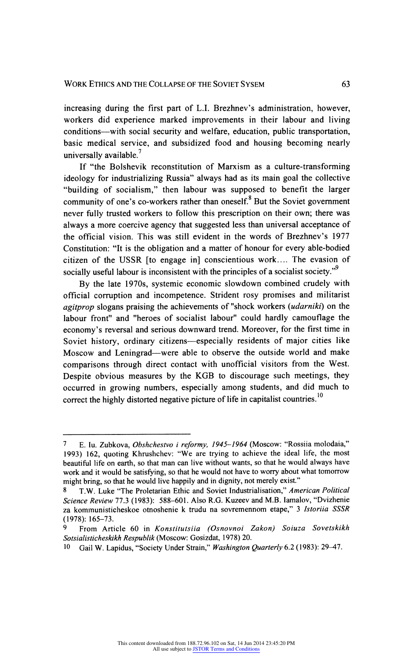increasing during the first part of L.I. Brezhnev's administration, however, workers did experience marked improvements in their labour and living conditions—with social security and welfare, education, public transportation, basic medical service, and subsidized food and housing becoming nearly universally available.<sup>7</sup>

If "the Bolshevik reconstitution of Marxism as a culture-transforming ideology for industrializing Russia" always had as its main goal the collective "building of socialism," then labour was supposed to benefit the larger community of one's co-workers rather than oneself.<sup>8</sup> But the Soviet government never fully trusted workers to follow this prescription on their own; there was always a more coercive agency that suggested less than universal acceptance of the official vision. This was still evident in the words of Brezhnev's 1977 Constitution: "It is the obligation and a matter of honour for every able-bodied citizen of the USSR [to engage in] conscientious work.... The evasion of socially useful labour is inconsistent with the principles of a socialist society."<sup>9</sup>

By the late 1970s, systemic economic slowdown combined crudely with official corruption and incompetence. Strident rosy promises and militarist agitprop slogans praising the achievements of "shock workers (udarniki) on the labour front" and "heroes of socialist labour" could hardly camouflage the economy's reversal and serious downward trend. Moreover, for the first time in Soviet history, ordinary citizens-especially residents of major cities like Moscow and Leningrad-were able to observe the outside world and make comparisons through direct contact with unofficial visitors from the West. Despite obvious measures by the KGB to discourage such meetings, they occurred in growing numbers, especially among students, and did much to correct the highly distorted negative picture of life in capitalist countries.<sup>10</sup>

<sup>7</sup> E. Iu. Zubkova, Obshchestvo i reformy, 1945-1964 (Moscow: "Rossiia molodaia," 1993) 162, quoting Khrushchev: "We are trying to achieve the ideal life, the most beautiful life on earth, so that man can live without wants, so that he would always have work and it would be satisfying, so that he would not have to worry about what tomorrow might bring, so that he would live happily and in dignity, not merely exist."<br>8 T W Luke "The Proletarian Ethic and Soviet Industrialisation." Am

T.W. Luke "The Proletarian Ethic and Soviet Industrialisation," American Political Science Review 113 (1983): 588-601. Also R.G. Kuzeev and M.B. Iamalov, "Dvizhenie za kommunisticheskoe otnoshenie k trudu na sovremennom etape," 3 Istoriia SSSR (1978): 165-73.

From Article 60 in Konstitutsiia (Osnovnoi Zakon) Soiuza Sovetskikh Sotsialisticheskikh Respublik (Moscow: Gosizdat, 1978) 20.

<sup>10</sup> Gail W. Lapidus, "Society Under Strain," Washington Quarterly 6.2 (1983): 29-47.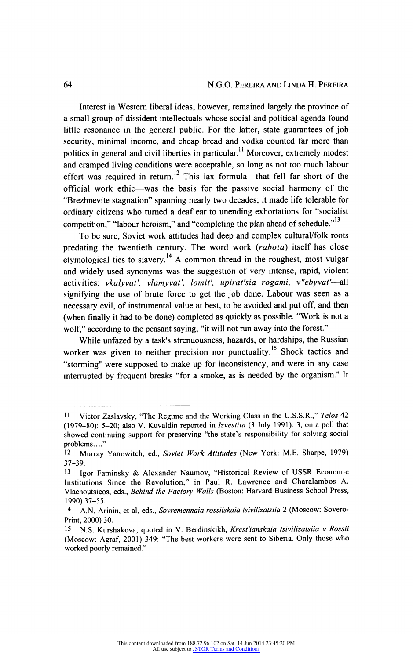Interest in Western liberal ideas, however, remained largely the province of a small group of dissident intellectuals whose social and political agenda found little resonance in the general public. For the latter, state guarantees of job security, minimal income, and cheap bread and vodka counted far more than politics in general and civil liberties in particular.<sup>11</sup> Moreover, extremely modest and cramped living conditions were acceptable, so long as not too much labour effort was required in return.<sup>12</sup> This lax formula—that fell far short of the official work ethic—was the basis for the passive social harmony of the "Brezhnevite stagnation" spanning nearly two decades; it made life tolerable for ordinary citizens who turned a deaf ear to unending exhortations for "socialist competition," "labour heroism," and "completing the plan ahead of schedule."<sup>13</sup>

To be sure, Soviet work attitudes had deep and complex cultural/folk roots predating the twentieth century. The word work (rabota) itself has close etymological ties to slavery.<sup>14</sup> A common thread in the roughest, most vulgar and widely used synonyms was the suggestion of very intense, rapid, violent activities: vkalyvat', vlamyvat', lomit', upirat'sia rogami, v"ebyvat'-all signifying the use of brute force to get the job done. Labour was seen as a necessary evil, of instrumental value at best, to be avoided and put off, and then (when finally it had to be done) completed as quickly as possible. "Work is not a wolf," according to the peasant saying, "it will not run away into the forest."

While unfazed by a task's strenuousness, hazards, or hardships, the Russian worker was given to neither precision nor punctuality.<sup>15</sup> Shock tactics and "storming" were supposed to make up for inconsistency, and were in any case interrupted by frequent breaks "for a smoke, as is needed by the organism." It

<sup>11</sup> Victor Zaslavsky, "The Regime and the Working Class in the U.S.S.R.," Telos 42 (1979-80): 5-20; also V. Kuvaldin reported in Izvestiia (3 July 1991): 3, on a poll that showed continuing support for preserving "the state's responsibility for solving social problems...."<br><sup>12</sup> Murray

Murray Yanowitch, ed., Soviet Work Attitudes (New York: M.E. Sharpe, 1979) 37-39.

<sup>13</sup> Igor Faminsky & Alexander Naumov, "Historical Review of USSR Economic Institutions Since the Revolution," in Paul R. Lawrence and Charalambos A. Vlachoutsicos, eds., Behind the Factory Walls (Boston: Harvard Business School Press, 1990) 37–55.<br>14 A N Ar

<sup>14</sup> A.N. Arinin, et al, eds., Sovremennaia rossiiskaia tsivilizatsiia 2 (Moscow: Sovero-Print, 2000) 30.<br>15 N S. Kursl

N.S. Kurshakova, quoted in V. Berdinskikh, Krest'ianskaia tsivilizatsiia v Rossii (Moscow: Agraf, 2001) 349: "The best workers were sent to Siberia. Only those who worked poorly remained."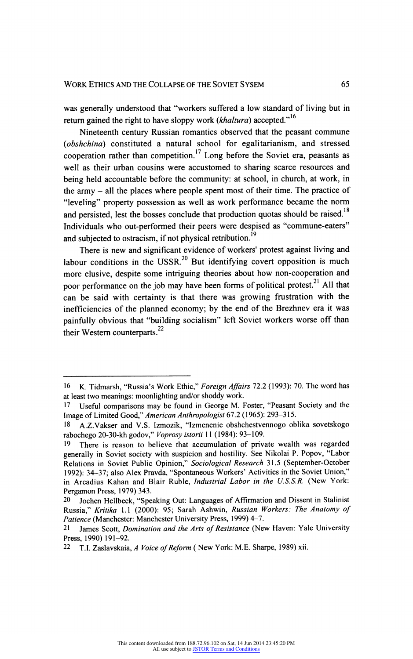was generally understood that "workers uffered a low standard of living but in return gained the right to have sloppy work (khaltura) accepted."<sup>16</sup>

Nineteenth century Russian romantics observed that the peasant commune (obshchina) constituted a natural school for egalitarianism, and stressed cooperation rather than competition.<sup>17</sup> Long before the Soviet era, peasants as well as their urban cousins were accustomed to sharing scarce resources and being held accountable before the community: at school, in church, at work, in the army - all the places where people spent most of their time. The practice of "leveling" property possession as well as work performance became the norm and persisted, lest the bosses conclude that production quotas should be raised.<sup>18</sup> Individuals who out-performed their peers were despised as "commune-eaters" and subjected to ostracism, if not physical retribution.<sup>19</sup>

There is new and significant evidence of workers' protest against living and labour conditions in the USSR.<sup>20</sup> But identifying covert opposition is much more elusive, despite some intriguing theories about how non-cooperation and poor performance on the job may have been forms of political protest.<sup>21</sup> All that can be said with certainty is that there was growing frustration with the inefficiencies of the planned economy; by the end of the Brezhnev era it was painfully obvious that "building socialism" left Soviet workers worse off than their Western counterparts. $^{22}$ 

<sup>16</sup> K. Tidmarsh, "Russia's Work Ethic," Foreign Affairs 72.2 (1993): 70. The word has at least two meanings: moonlighting and/or shoddy work.<br>17 I liseful comparisons may be found in George M. I

Useful comparisons may be found in George M. Foster, "Peasant Society and the Image of Limited Good," American Anthropologist 67.2 (1965): 293–315.<br>18 A Z Vakser and V.S. Izmozik. "Izmenenie obshchestvennogo ob

<sup>18</sup> A.Z.Vakser and V.S. Izmozik, "Izmenenie obshchestvennogo oblika sovetskogo rabochego 20-30-kh godov," Voprosy istorii 11 (1984): 93–109.<br>19 There is reason to believe that accumulation of privi

There is reason to believe that accumulation of private wealth was regarded generally in Soviet society with suspicion and hostility. See Nikolai P. Popov, "Labor Relations in Soviet Public Opinion," Sociological Research 31.5 (September-October 1992): 34-37; also Alex Pravda, "Spontaneous Workers' Activities in the Soviet Union," in Arcadius Kahan and Blair Ruble, Industrial Labor in the U.S.S.R. (New York: Pergamon Press, 1979) 343.<br>20 Iochen Hellbeck "Spe

Jochen Hellbeck, "Speaking Out: Languages of Affirmation and Dissent in Stalinist Russia," Kritika 1.1 (2000): 95; Sarah Ashwin, Russian Workers: The Anatomy of Patience (Manchester: Manchester University Press, 1999) 4-7.<br>21 James Scott, Domination and the Arts of Resistance (Ne

James Scott, Domination and the Arts of Resistance (New Haven: Yale University Press, 1990) 191-92.

<sup>22</sup> T.I. Zaslavskaia, A Voice of Reform (New York: M.E. Sharpe, 1989) xii.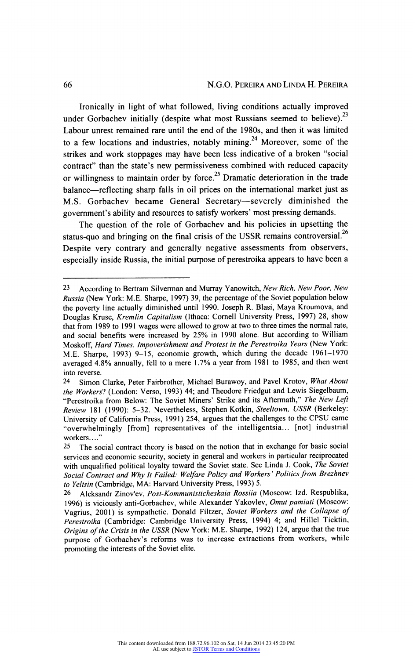Ironically in light of what followed, living conditions actually improved under Gorbachev initially (despite what most Russians seemed to believe).<sup>23</sup> Labour unrest remained rare until the end of the 1980s, and then it was limited to a few locations and industries, notably mining.<sup>24</sup> Moreover, some of the strikes and work stoppages may have been less indicative of a broken "social contract" than the state's new permissiveness combined with reduced capacity or willingness to maintain order by force.<sup>25</sup> Dramatic deterioration in the trade balance—reflecting sharp falls in oil prices on the international market just as M.S. Gorbachev became General Secretary-severely diminished the government's ability and resources to satisfy workers' most pressing demands.

The question of the role of Gorbachev and his policies in upsetting the status-quo and bringing on the final crisis of the USSR remains controversial.<sup>26</sup> Despite very contrary and generally negative assessments from observers, especially inside Russia, the initial purpose of perestroika appears to have been a

<sup>23</sup> According to Bertram Silverman and Murray Yanowitch, New Rich, New Poor, New Russia (New York: M.E. Sharpe, 1997) 39, the percentage of the Soviet population below the poverty line actually diminished until 1990. Joseph R. Blasi, Maya Kroumova, and Douglas Kruse, Kremlin Capitalism (Ithaca: Cornell University Press, 1997) 28, show that from 1989 to 1991 wages were allowed to grow at two to three times the normal rate, and social benefits were increased by 25% in 1990 alone. But according to William Moskoff, Hard Times. Impoverishment and Protest in the Perestroika Years (New York: M.E. Sharpe, 1993) 9-15, economic growth, which during the decade 1961-1970 averaged 4.8% annually, fell to a mere 1.7% a year from 1981 to 1985, and then went into reverse.

<sup>24</sup> Simon Clarke, Peter Fairbrother, Michael Burawoy, and Pavel Krotov, What About the Workers? (London: Verso, 1993) 44; and Theodore Friedgut and Lewis Siegelbaum, "Perestroika from Below: The Soviet Miners' Strike and its Aftermath," The New Left Review 181 (1990): 5-32. Nevertheless, Stephen Kotkin, Steeltown, USSR (Berkeley: University of California Press, 1991) 254, argues that the challenges to the CPSU came "overwhelmingly [from] representatives of the intelligentsia... [not] industrial workers...."

<sup>25</sup> The social contract theory is based on the notion that in exchange for basic social services and economic security, society in general and workers in particular reciprocated with unqualified political loyalty toward the Soviet state. See Linda J. Cook, The Soviet Social Contract and Why It Failed: Welfare Policy and Workers' Politics from Brezhnev to Yeltsin (Cambridge, MA: Harvard University Press, 1993) 5.<br>26 Aleksandr Zinov'ev. Post-Kommunisticheskaia Rossiia (

Aleksandr Zinov'ev, Post-Kommunisticheskaia Rossiia (Moscow: Izd. Respublika, 1996) is viciously anti-Gorbachev, while Alexander Yakovlev, Omut pamiati (Moscow: Vagrius, 2001) is sympathetic. Donald Filtzer, Soviet Workers and the Collapse of Perestroika (Cambridge: Cambridge University Press, 1994) 4; and Hillel Ticktin, Origins of the Crisis in the USSR (New York: M.E. Sharpe, 1992) 124, argue that the true purpose of Gorbachev's reforms was to increase extractions from workers, while promoting the interests of the Soviet elite.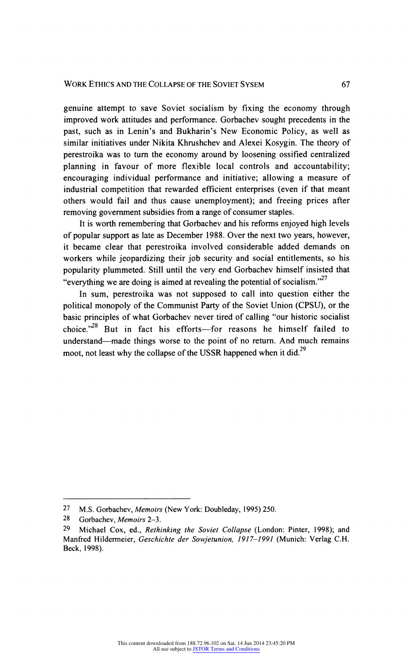genuine attempt to save Soviet socialism by fixing the economy through improved work attitudes and performance. Gorbachev sought precedents in the past, such as in Lenin's and Bukharin's New Economic Policy, as well as similar initiatives under Nikita Khrushchev and Alexei Kosygin. The theory of Perestroika was to turn the economy around by loosening ossified centralized planning in favour of more flexible local controls and accountability; encouraging individual performance and initiative; allowing a measure of industrial competition that rewarded efficient enterprises (even if that meant others would fail and thus cause unemployment); and freeing prices after removing government subsidies from a range of consumer staples.

It is worth remembering that Gorbachev and his reforms enjoyed high levels of popular support as late as December 1988. Over the next two years, however, it became clear that perestroika involved considerable added demands on workers while jeopardizing their job security and social entitlements, so his popularity plummeted. Still until the very end Gorbachev himself insisted that "everything we are doing is aimed at revealing the potential of socialism."<sup>27</sup>

In sum, perestroika was not supposed to call into question either the political monopoly of the Communist Party of the Soviet Union (CPSU), or the basic principles of what Gorbachev never tired of calling "our historic socialist choice."<sup>28</sup> But in fact his efforts-for reasons he himself failed to understand—made things worse to the point of no return. And much remains moot, not least why the collapse of the USSR happened when it did.<sup>29</sup>

<sup>27</sup> M.S. Gorbachev, Memoirs (New York: Doubleday, 1995) 250.<br>28 Gorbachev Memoirs 2–3

<sup>28</sup> Gorbachev, Memoirs  $2-3$ .<br>29 Michael Cox. ed., Rethi

Michael Cox, ed., Rethinking the Soviet Collapse (London: Pinter, 1998); and Manfred Hildermeier, Geschichte der Sowjetunion, 1917-1991 (Munich: Verlag C.H. Beck, 1998).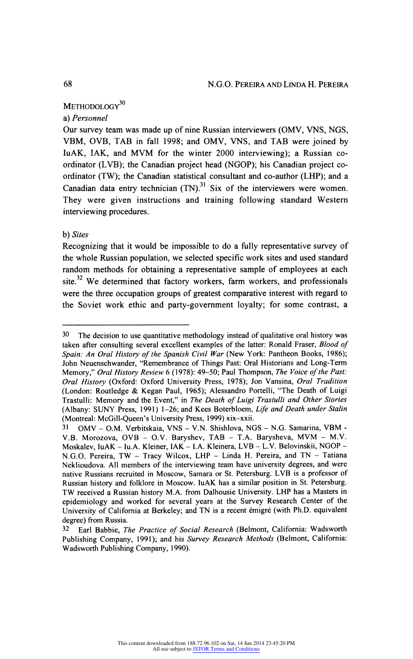## METHODOLOGY<sup>30</sup>

## a) Personnel

Our survey team was made up of nine Russian interviewers (OMV, VNS, NGS, VBM, OVB, TAB in fall 1998; and OMV, VNS, and TAB were joined by IuAK, IAK, and MVM for the winter 2000 interviewing); a Russian coordinator (LVB); the Canadian project head (NGOP); his Canadian project coordinator (TW); the Canadian statistical consultant and co-author (LHP); and a Canadian data entry technician  $(TN)$ .<sup>31</sup> Six of the interviewers were women. They were given instructions and training following standard Western interviewing procedures.

#### b) Sites

Recognizing that it would be impossible to do a fully representative survey of the whole Russian population, we selected specific work sites and used standard random methods for obtaining a representative sample of employees at each site. $32$  We determined that factory workers, farm workers, and professionals were the three occupation groups of greatest comparative interest with regard to the Soviet work ethic and party-government loyalty; for some contrast, a

 $30$  The decision to use quantitative methodology instead of qualitative oral history was taken after consulting several excellent examples of the latter: Ronald Fraser, *Blood of* Spain: An Oral History of the Spanish Civil War (New York: Pantheon Books, 1986); John Neuenschwander, "Remembrance of Things Past: Oral Historians and Long-Term Memory," Oral History Review 6 (1978): 49-50; Paul Thompson, The Voice of the Past: Oral History (Oxford: Oxford University Press, 1978); Jon Vansina, Oral Tradition (London: Routledge & Kegan Paul, 1965); Alessandro Portelli, "The Death of Luigi Trastulli: Memory and the Event," in The Death of Luigi Trastulli and Other Stories (Albany: SUNY Press, 1991) 1-26; and Kees Boterbloem, Life and Death under Stalin (Montreal: McGill-Queen's University Press, 1999) xix-xxii.<br>31 OMV – O.M. Verbitskaia. VNS – V.N. Shishlova, NC

<sup>31</sup> OMV - O.M. Verbitskaia, VNS - V.N. Shishlova, NGS - N.G. Samarina, VBM - V.B. Morozova, OVB - O.V. Baryshev, TAB - T.A. Barysheva, MVM - M.V. Moskalev, IuAK - Iu.A. Kleiner, IAK - I.A. Kleinera, LVB - L.V. Belovinskii, NGOP - N.G.O. Pereira, TW - Tracy Wilcox, LHP - Linda H. Pereira, and TN - Tatiana Neklioudova. All members of the interviewing team have university degrees, and were native Russians recruited in Moscow, Samara or St. Petersburg. LVB is a professor of Russian history and folklore in Moscow. IuAK has a similar position in St. Petersburg. TW received a Russian history M.A. from Dalhousie University. LHP has a Masters in epidemiology and worked for several years at the Survey Research Center of the University of California at Berkeley; and TN is a recent émigré (with Ph.D. equivalent degree) from Russia.<br>32 Farl Babbie. T

Earl Babbie, The Practice of Social Research (Belmont, California: Wadsworth Publishing Company, 1991); and his Survey Research Methods (Belmont, California: Wadsworth Publishing Company, 1990).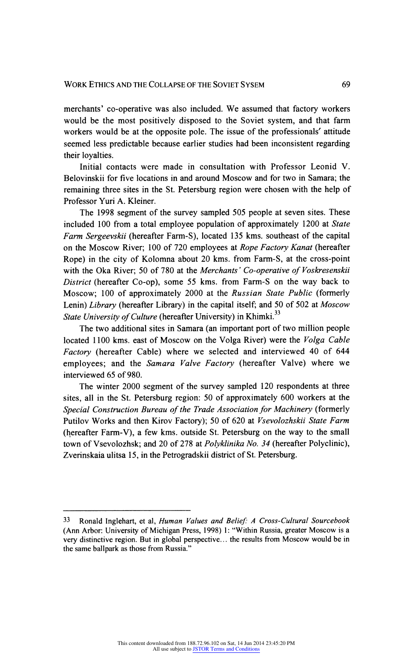merchants' co-operative was also included. We assumed that factory workers would be the most positively disposed to the Soviet system, and that farm workers would be at the opposite pole. The issue of the professionals' attitude seemed less predictable because earlier studies had been inconsistent regarding their loyalties.

Initial contacts were made in consultation with Professor Leonid V. Belovinskii for five locations in and around Moscow and for two in Samara; the remaining three sites in the St. Petersburg region were chosen with the help of Professor Yuri A. Kleiner.

The 1998 segment of the survey sampled 505 people at seven sites. These included 100 from a total employee population of approximately 1200 at State Farm Sergeevskii (hereafter Farm-S), located 135 kms. southeast of the capital on the Moscow River; 100 of 720 employees at *Rope Factory Kanat* (hereafter Rope) in the city of Kolomna about 20 kms. from Farm-S, at the cross-point with the Oka River; 50 of 780 at the Merchants' Co-operative of Voskresenskii District (hereafter Co-op), some 55 kms. from Farm-S on the way back to Moscow; 100 of approximately 2000 at the Russian State Public (formerly Lenin) Library (hereafter Library) in the capital itself; and 50 of 502 at Moscow State University of Culture (hereafter University) in Khimki.<sup>33</sup>

The two additional sites in Samara (an important port of two million people located 1100 kms. east of Moscow on the Volga River) were the Volga Cable Factory (hereafter Cable) where we selected and interviewed 40 of 644 employees; and the Samara Valve Factory (hereafter Valve) where we interviewed 65 of 980.

The winter 2000 segment of the survey sampled 120 respondents at three sites, all in the St. Petersburg region: 50 of approximately 600 workers at the Special Construction Bureau of the Trade Association for Machinery (formerly Putilov Works and then Kirov Factory); 50 of 620 at *Vsevolozhskii State Farm* (hereafter Farm-V), a few kms. outside St. Petersburg on the way to the small town of Vsevolozhsk; and 20 of 278 at Polyklinika No. 34 (hereafter Polyclinic), Zverinskaia ulitsa 15, in the Petrogradskii district of St. Petersburg.

<sup>33</sup> Ronald Inglehart, et al, Human Values and Belief: A Cross-Cultural Sourcebook (Ann Arbor: University of Michigan Press, 1998) 1: "Within Russia, greater Moscow is a very distinctive region. But in global perspective... the results from Moscow would be in the same ballpark as those from Russia."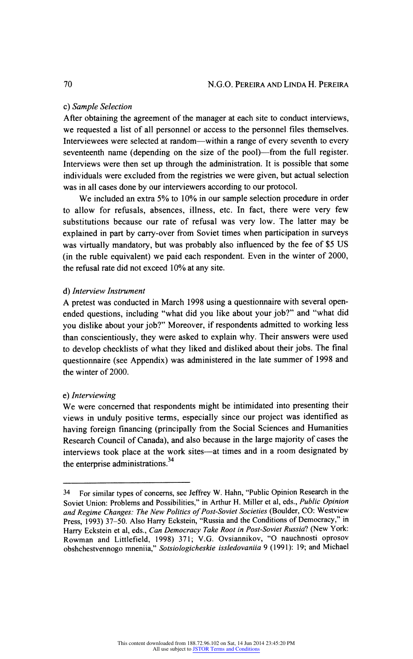## c) Sample Selection

After obtaining the agreement of the manager at each site to conduct interviews, we requested a list of all personnel or access to the personnel files themselves. Interviewees were selected at random-within a range of every seventh to every seventeenth name (depending on the size of the pool)—from the full register. Interviews were then set up through the administration. It is possible that some individuals were excluded from the registries we were given, but actual selection was in all cases done by our interviewers according to our protocol.

We included an extra 5% to 10% in our sample selection procedure in order to allow for refusals, absences, illness, etc. In fact, there were very few substitutions because our rate of refusal was very low. The latter may be explained in part by carry-over from Soviet times when participation in surveys was virtually mandatory, but was probably also influenced by the fee of \$5 US (in the ruble equivalent) we paid each respondent. Even in the winter of 2000, the refusal rate did not exceed 10% at any site.

## d) Interview Instrument

A pretest was conducted in March 1998 using a questionnaire with several openended questions, including "what did you like about your job?" and "what did you dislike about your job?" Moreover, if respondents admitted to working less than conscientiously, they were asked to explain why. Their answers were used to develop checklists of what they liked and disliked about their jobs. The final questionnaire (see Appendix) was administered in the late summer of 1998 and the winter of 2000.

## e) Interviewing

We were concerned that respondents might be intimidated into presenting their views in unduly positive terms, especially since our project was identified as having foreign financing (principally from the Social Sciences and Humanities Research Council of Canada), and also because in the large majority of cases the interviews took place at the work sites—at times and in a room designated by the enterprise administrations. $34$ 

<sup>34</sup> For similar types of concerns, see Jeffrey W. Hahn, "Public Opinion Research in the Soviet Union: Problems and Possibilities," in Arthur H. Miller et al, eds., Public Opinion and Regime Changes: The New Politics of Post-Soviet Societies (Boulder, CO: Westview Press, 1993) 37-50. Also Harry Eckstein, "Russia and the Conditions of Democracy," in Harry Eckstein et al, eds., Can Democracy Take Root in Post-Soviet Russia? (New York: Rowman and Littlefield, 1998) 371; V.G. Ovsiannikov, "O nauchnosti oprosov obshchestvennogo mneniia," Sotsiologicheskie issledovaniia 9 (1991): 19; and Michael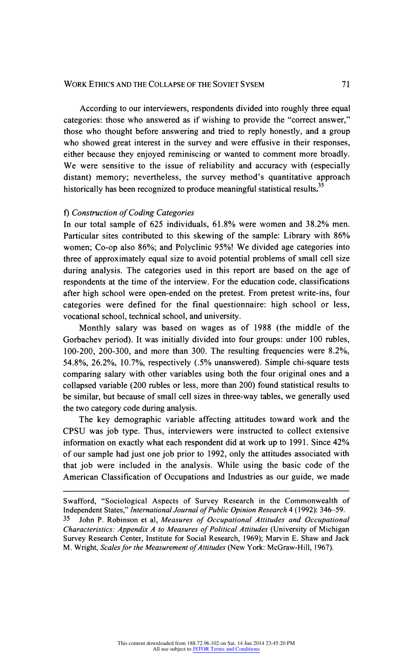According to our interviewers, respondents divided into roughly three equal categories: those who answered as if wishing to provide the "correct answer," those who thought before answering and tried to reply honestly, and a group who showed great interest in the survey and were effusive in their responses, either because they enjoyed reminiscing or wanted to comment more broadly. We were sensitive to the issue of reliability and accuracy with (especially distant) memory; nevertheless, the survey method's quantitative approach historically has been recognized to produce meaningful statistical results.<sup>35</sup>

## f) Construction of Coding Categories

In our total sample of 625 individuals, 61.8% were women and 38.2% men. Particular sites contributed to this skewing of the sample: Library with 86% women; Co-op also 86%; and Polyclinic 95%! We divided age categories into three of approximately equal size to avoid potential problems of small cell size during analysis. The categories used in this report are based on the age of respondents at the time of the interview. For the education code, classifications after high school were open-ended on the pretest. From pretest write-ins, four categories were defined for the final questionnaire: high school or less, vocational school, technical school, and university.

Monthly salary was based on wages as of 1988 (the middle of the Gorbachev period). It was initially divided into four groups: under 100 rubles, 100-200, 200-300, and more than 300. The resulting frequencies were 8.2%, 54.8%, 26.2%, 10.7%, respectively (.5% unanswered). Simple chi-square tests comparing salary with other variables using both the four original ones and a collapsed variable (200 rubles or less, more than 200) found statistical results to be similar, but because of small cell sizes in three-way tables, we generally used the two category code during analysis.

The key demographic variable affecting attitudes toward work and the CPSU was job type. Thus, interviewers were instructed to collect extensive information on exactly what each respondent did at work up to 1991. Since 42% of our sample had just one job prior to 1992, only the attitudes associated with that job were included in the analysis. While using the basic code of the American Classification of Occupations and Industries as our guide, we made

Swafford, "Sociological Aspects of Survey Research in the Commonwealth of Independent States," *International Journal of Public Opinion Research* 4 (1992): 346–59.<br><sup>35</sup> John P. Robinson et al. *Measures of Occunational Attitudes and Occunationa* John P. Robinson et al, Measures of Occupational Attitudes and Occupational Characteristics: Appendix A to Measures of Political Attitudes (University of Michigan Survey Research Center, Institute for Social Research, 1 969); Marvin E. Shaw and Jack M. Wright, Scales for the Measurement of Attitudes (New York: McGraw-Hill, 1967).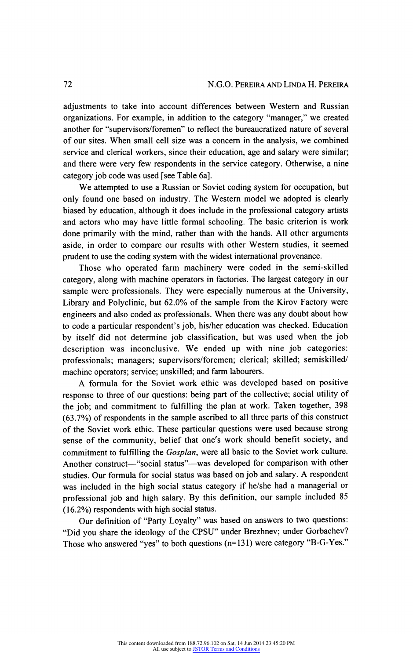adjustments to take into account differences between Western and Russian organizations. For example, in addition to the category "manager," we created another for "supervisors/foremen" to reflect he bureaucratized nature of several of our sites. When small cell size was a concern in the analysis, we combined service and clerical workers, since their education, age and salary were similar; and there were very few respondents in the service category. Otherwise, a nine category job code was used [see Table 6a].

We attempted to use a Russian or Soviet coding system for occupation, but only found one based on industry. The Western model we adopted is clearly biased by education, although it does include in the professional category artists and actors who may have little formal schooling. The basic criterion is work done primarily with the mind, rather than with the hands. All other arguments aside, in order to compare our results with other Western studies, it seemed prudent to use the coding system with the widest international provenance.

Those who operated farm machinery were coded in the semi-skilled category, along with machine operators in factories. The largest category in our sample were professionals. They were especially numerous at the University, Library and Polyclinic, but 62.0% of the sample from the Kirov Factory were engineers and also coded as professionals. When there was any doubt about how to code a particular respondent's job, his/her education was checked. Education by itself did not determine job classification, but was used when the job description was inconclusive. We ended up with nine job categories: professionals; managers; supervisors/foremen; clerical; skilled; semiskilled/ machine operators; service; unskilled; and farm labourers.

A formula for the Soviet work ethic was developed based on positive response to three of our questions: being part of the collective; social utility of the job; and commitment to fulfilling the plan at work. Taken together, 398 (63.7%) of respondents in the sample ascribed to all three parts of this construct of the Soviet work ethic. These particular questions were used because strong sense of the community, belief that one's work should benefit society, and commitment to fulfilling the Gosplan, were all basic to the Soviet work culture. Another construct—"social status"—was developed for comparison with other studies. Our formula for social status was based on job and salary. A respondent was included in the high social status category if he/she had a managerial or professional job and high salary. By this definition, our sample included 85 (16.2%) respondents with high social status.

Our definition of "Party Loyalty" was based on answers to two questions: "Did you share the ideology of the CPSU" under Brezhnev; under Gorbachev? Those who answered "yes" to both questions (n=131) were category "B-G-Yes."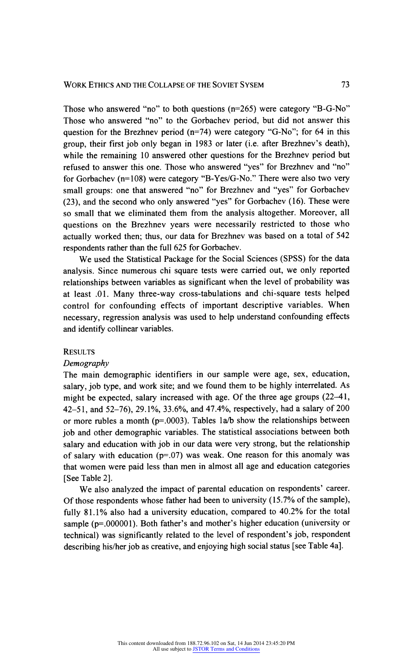Those who answered "no" to both questions (n=265) were category "B-G-No" Those who answered "no" to the Gorbachev period, but did not answer this question for the Brezhnev period (n=74) were category "G-No"; for 64 in this group, their first job only began in 1983 or later (i.e. after Brezhnev's death), while the remaining 10 answered other questions for the Brezhnev period but refused to answer this one. Those who answered "yes" for Brezhnev and "no" for Gorbachev (n=108) were category "B-Yes/G-No." There were also two very small groups: one that answered "no" for Brezhnev and "yes" for Gorbachev (23), and the second who only answered "yes" for Gorbachev (16). These were so small that we eliminated them from the analysis altogether. Moreover, all questions on the Brezhnev years were necessarily restricted to those who actually worked then; thus, our data for Brezhnev was based on a total of 542 respondents rather than the full 625 for Gorbachev.

We used the Statistical Package for the Social Sciences (SPSS) for the data analysis. Since numerous chi square tests were carried out, we only reported relationships between variables as significant when the level of probability was at least .01. Many three-way cross-tabulations and chi-square tests helped control for confounding effects of important descriptive variables. When necessary, regression analysis was used to help understand confounding effects and identify collinear variables.

## **RESULTS**

#### Demography

The main demographic identifiers in our sample were age, sex, education, salary, job type, and work site; and we found them to be highly interrelated. As might be expected, salary increased with age. Of the three age groups (22-41, 42-51, and 52-76), 29.1%, 33.6%, and 47.4%, respectively, had a salary of 200 or more rubles a month ( $p=0.003$ ). Tables 1a/b show the relationships between job and other demographic variables. The statistical associations between both salary and education with job in our data were very strong, but the relationship of salary with education ( $p=.07$ ) was weak. One reason for this anomaly was that women were paid less than men in almost all age and education categories [See Table 2].

We also analyzed the impact of parental education on respondents' career. Of those respondents whose father had been to university (15.7% of the sample), fully 81.1% also had a university education, compared to 40.2% for the total sample (p=.000001). Both father's and mother's higher education (university or technical) was significantly related to the level of respondent's job, respondent describing his/her job as creative, and enjoying high social status [see Table 4a].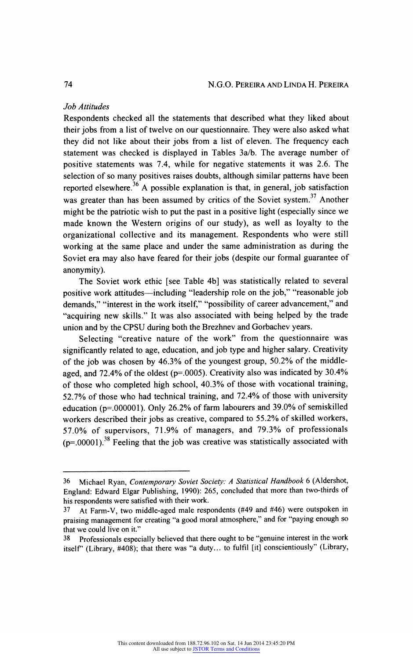## Job Attitudes

Respondents checked all the statements that described what they liked about their jobs from a list of twelve on our questionnaire. They were also asked what they did not like about their jobs from a list of eleven. The frequency each statement was checked is displayed in Tables 3a/b. The average number of positive statements was 7.4, while for negative statements it was 2.6. The selection of so many positives raises doubts, although similar patterns have been reported elsewhere.<sup>36</sup> A possible explanation is that, in general, job satisfaction was greater than has been assumed by critics of the Soviet system.<sup>37</sup> Another might be the patriotic wish to put the past in a positive light (especially since we made known the Western origins of our study), as well as loyalty to the organizational collective and its management. Respondents who were still working at the same place and under the same administration as during the Soviet era may also have feared for their jobs (despite our formal guarantee of anonymity).

The Soviet work ethic [see Table 4b] was statistically related to several positive work attitudes—including "leadership role on the job," "reasonable job demands," "interest in the work itself," "possibility of career advancement," and "acquiring new skills." It was also associated with being helped by the trade union and by the CPSU during both the Brezhnev and Gorbachev years.

Selecting "creative nature of the work" from the questionnaire was significantly related to age, education, and job type and higher salary. Creativity of the job was chosen by 46.3% of the youngest group, 50.2% of the middleaged, and 72.4% of the oldest (p=.0005). Creativity also was indicated by 30.4% of those who completed high school, 40.3% of those with vocational training, 52.7% of those who had technical training, and 72.4% of those with university education (p=.000001). Only 26.2% of farm labourers and 39.0% of semiskilled workers described their jobs as creative, compared to 55.2% of skilled workers, 57.0% of supervisors, 71.9% of managers, and 79.3% of professionals  $(p=00001)$ .<sup>38</sup> Feeling that the job was creative was statistically associated with

<sup>36</sup> Michael Ryan, Contemporary Soviet Society: A Statistical Handbook 6 (Aldershot, England: Edward Elgar Publishing, 1990): 265, concluded that more than two-thirds of his respondents were satisfied with their work.<br>37 At Farm-V two middle-aged male resp

At Farm-V, two middle-aged male respondents (#49 and #46) were outspoken in praising management for creating "a good moral atmosphere," and for "paying enough so that we could live on it."

<sup>38</sup> Professionals especially believed that there ought to be "genuine interest in the work itself" (Library, #408); that there was "a duty... to fulfil [it] conscientiously" (Library,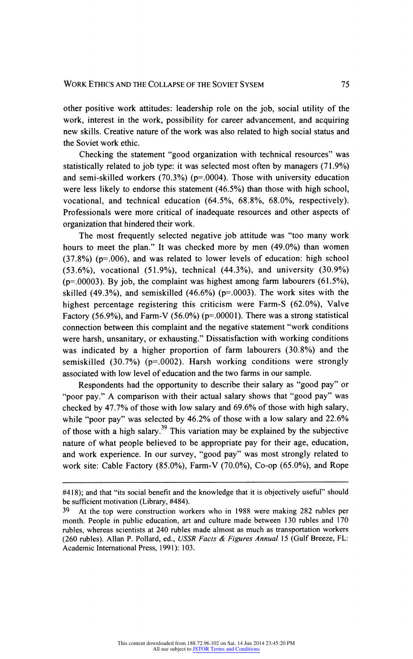other positive work attitudes: leadership role on the job, social utility of the work, interest in the work, possibility for career advancement, and acquiring new skills. Creative nature of the work was also related to high social status and the Soviet work ethic.

Checking the statement "good organization with technical resources" was statistically related to job type: it was selected most often by managers (71.9%) and semi-skilled workers  $(70.3\%)$  (p=.0004). Those with university education were less likely to endorse this statement (46.5%) than those with high school, vocational, and technical education (64.5%, 68.8%, 68.0%, respectively). Professionals were more critical of inadequate resources and other aspects of organization that hindered their work.

The most frequently selected negative job attitude was "too many work hours to meet the plan." It was checked more by men (49.0%) than women  $(37.8%)$  (p=.006), and was related to lower levels of education: high school (53.6%), vocational (51.9%), technical (44.3%), and university (30.9%) ( $p=00003$ ). By job, the complaint was highest among farm labourers (61.5%), skilled (49.3%), and semiskilled (46.6%) ( $p=.0003$ ). The work sites with the highest percentage registering this criticism were Farm-S (62.0%), Valve Factory (56.9%), and Farm-V (56.0%) ( $p=.00001$ ). There was a strong statistical connection between this complaint and the negative statement "work conditions were harsh, unsanitary, or exhausting." Dissatisfaction with working conditions was indicated by a higher proportion of farm labourers (30.8%) and the semiskilled  $(30.7\%)$  (p=.0002). Harsh working conditions were strongly associated with low level of education and the two farms in our sample.

Respondents had the opportunity to describe their salary as "good pay" or "poor pay." A comparison with their actual salary shows that "good pay" was checked by 47.7% of those with low salary and 69.6% of those with high salary, while "poor pay" was selected by 46.2% of those with a low salary and 22.6% of those with a high salary.<sup>39</sup> This variation may be explained by the subjective nature of what people believed to be appropriate pay for their age, education, and work experience. In our survey, "good pay" was most strongly related to work site: Cable Factory (85.0%), Farm-V (70.0%), Co-op (65.0%), and Rope

<sup>#418);</sup> and that "its social benefit and the knowledge that it is objectively useful" should be sufficient motivation (Library, #484).<br>39 At the top were construction work

At the top were construction workers who in 1988 were making 282 rubles per month. People in public education, art and culture made between 130 rubles and 170 rubles, whereas scientists at 240 rubles made almost as much as transportation workers (260 rubles). Allan P. Pollard, ed., USSR Facts & Figures Annual 15 (Gulf Breeze, FL: Academic International Press, 1991): 103.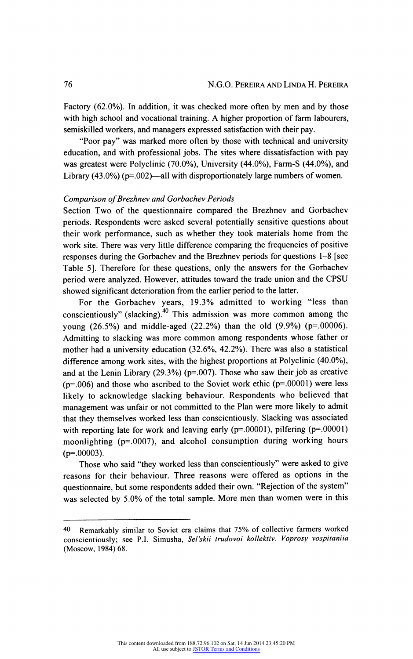Factory (62.0%). In addition, it was checked more often by men and by those with high school and vocational training. A higher proportion of farm labourers, semiskilled workers, and managers expressed satisfaction with their pay.

"Poor pay" was marked more often by those with technical and university education, and with professional jobs. The sites where dissatisfaction with pay was greatest were Polyclinic (70.0%), University (44.0%), Farm-S (44.0%), and Library  $(43.0\%)$  (p=.002)—all with disproportionately large numbers of women.

#### Comparison of Brezhnev and Gorbachev Periods

Section Two of the questionnaire compared the Brezhnev and Gorbachev periods. Respondents were asked several potentially sensitive questions about their work performance, such as whether they took materials home from the work site. There was very little difference comparing the frequencies of positive responses during the Gorbachev and the Brezhnev periods for questions 1-8 [see Table 5]. Therefore for these questions, only the answers for the Gorbachev period were analyzed. However, attitudes toward the trade union and the CPSU showed significant deterioration from the earlier period to the latter.

For the Gorbachev years, 19.3% admitted to working "less than conscientiously" (slacking).40 This admission was more common among the young (26.5%) and middle-aged (22.2%) than the old (9.9%) (p=.00006). Admitting to slacking was more common among respondents whose father or mother had a university education (32.6%, 42.2%). There was also a statistical difference among work sites, with the highest proportions at Polyclinic (40.0%), and at the Lenin Library (29.3%) ( $p=.007$ ). Those who saw their job as creative  $(p=.006)$  and those who ascribed to the Soviet work ethic  $(p=.00001)$  were less likely to acknowledge slacking behaviour. Respondents who believed that management was unfair or not committed to the Plan were more likely to admit that they themselves worked less than conscientiously. Slacking was associated with reporting late for work and leaving early (p=.00001), pilfering (p=.00001) moonlighting (p=.0007), and alcohol consumption during working hours  $(p=.00003)$ .

Those who said "they worked less than conscientiously" were asked to give reasons for their behaviour. Three reasons were offered as options in the questionnaire, but some respondents added their own. "Rejection of the system" was selected by 5.0% of the total sample. More men than women were in this

<sup>40</sup> Remarkably similar to Soviet era claims that 75% of collective farmers worked conscientiously; see P.I. Simusha, Sel'skii trudovoi kollektiv. Voprosy vospitaniia (Moscow, 1984) 68.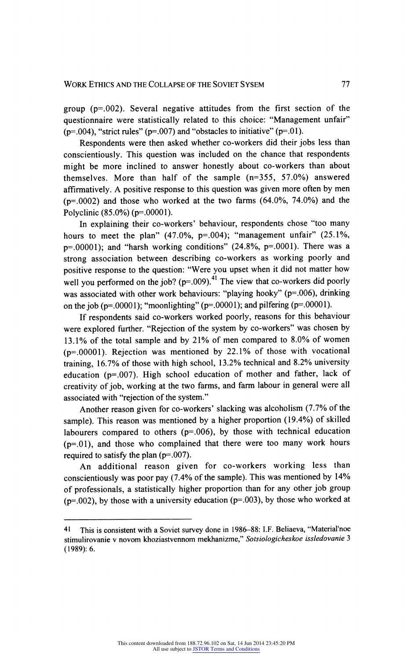group  $(p=.002)$ . Several negative attitudes from the first section of the questionnaire were statistically related to this choice: "Management unfair" ( $p=.004$ ), "strict rules" ( $p=.007$ ) and "obstacles to initiative" ( $p=.01$ ).

Respondents were then asked whether co-workers did their jobs less than conscientiously. This question was included on the chance that respondents might be more inclined to answer honestly about co-workers than about themselves. More than half of the sample  $(n=355, 57.0%)$  answered affirmatively. A positive response to this question was given more often by men  $(p=.0002)$  and those who worked at the two farms  $(64.0\%, 74.0\%)$  and the Polyclinic (85.0%) (p=.00001).

In explaining their co-workers' behaviour, respondents chose "too many hours to meet the plan" (47.0%, p=.004); "management unfair" (25.1%,  $p=.00001$ ); and "harsh working conditions" (24.8%,  $p=.0001$ ). There was a strong association between describing co-workers as working poorly and positive response to the question: "Were you upset when it did not matter how well you performed on the job?  $(p=.009)$ .<sup>41</sup> The view that co-workers did poorly was associated with other work behaviours: "playing hooky" (p=.006), drinking on the job ( $p=.00001$ ); "moonlighting" ( $p=.00001$ ); and pilfering ( $p=.00001$ ).

If respondents said co-workers worked poorly, reasons for this behaviour were explored further. "Rejection of the system by co-workers" was chosen by 13.1% of the total sample and by 21% of men compared to 8.0% of women (p=.00001). Rejection was mentioned by 22.1% of those with vocational training, 16.7% of those with high school, 13.2% technical and 8.2% university education (p=.OO7). High school education of mother and father, lack of creativity of job, working at the two farms, and farm labour in general were all associated with "rejection of the system."

Another reason given for co-workers' slacking was alcoholism (7.7% of the sample). This reason was mentioned by a higher proportion (19.4%) of skilled labourers compared to others  $(p=.006)$ , by those with technical education (p=.01), and those who complained that there were too many work hours required to satisfy the plan (p=.007).

An additional reason given for co-workers working less than conscientiously was poor pay (7.4% of the sample). This was mentioned by 14% of professionals, a statistically higher proportion than for any other job group  $(p=0.002)$ , by those with a university education  $(p=0.003)$ , by those who worked at

<sup>41</sup> This is consistent with a Soviet survey done in 1986-88: I.F. Beliaeva, "Material'noe stimulirovanie v novom khoziastvennom mekhanizme," Sotsiologicheskoe issledovanie 3 (1989): 6.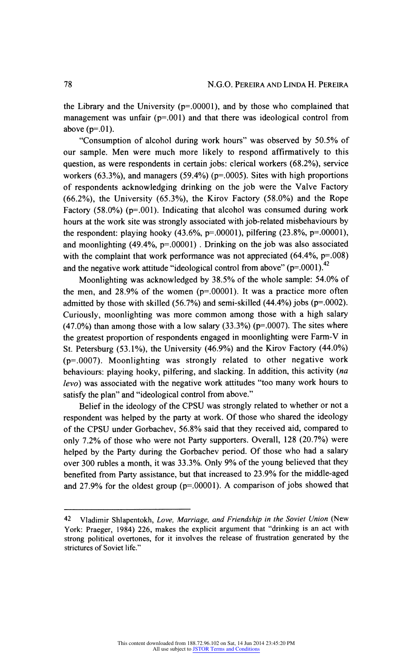the Library and the University ( $p=.00001$ ), and by those who complained that management was unfair ( $p=.001$ ) and that there was ideological control from above  $(p=.01)$ .

"Consumption of alcohol during work hours" was observed by 50.5% of our sample. Men were much more likely to respond affirmatively to this question, as were respondents in certain jobs: clerical workers (68.2%), service workers  $(63.3\%)$ , and managers  $(59.4\%)$  (p=.0005). Sites with high proportions of respondents acknowledging drinking on the job were the Valve Factory (66.2%), the University (65.3%), the Kirov Factory (58.0%) and the Rope Factory (58.0%) ( $p=.001$ ). Indicating that alcohol was consumed during work hours at the work site was strongly associated with job-related misbehaviours by the respondent: playing hooky  $(43.6\%, p=.00001)$ , pilfering  $(23.8\%, p=.00001)$ , and moonlighting (49.4%, p=.00001) . Drinking on the job was also associated with the complaint that work performance was not appreciated  $(64.4\%, p=.008)$ and the negative work attitude "ideological control from above" ( $p=.0001$ ).<sup>42</sup>

Moonlighting was acknowledged by 38.5% of the whole sample: 54.0% of the men, and  $28.9\%$  of the women ( $p=.00001$ ). It was a practice more often admitted by those with skilled  $(56.7\%)$  and semi-skilled  $(44.4\%)$  jobs  $(p=.0002)$ . Curiously, moonlighting was more common among those with a high salary  $(47.0\%)$  than among those with a low salary  $(33.3\%)$  (p=.0007). The sites where the greatest proportion of respondents engaged in moonlighting were Farm-V in St. Petersburg (53.1%), the University (46.9%) and the Kirov Factory (44.0%) (p=.0007). Moonlighting was strongly related to other negative work behaviours: playing hooky, pilfering, and slacking. In addition, this activity (na levo) was associated with the negative work attitudes "too many work hours to satisfy the plan" and "ideological control from above."

Belief in the ideology of the CPSU was strongly related to whether or not a respondent was helped by the party at work. Of those who shared the ideology of the CPSU under Gorbachev, 56.8% said that they received aid, compared to only 7.2% of those who were not Party supporters. Overall, 128 (20.7%) were helped by the Party during the Gorbachev period. Of those who had a salary over 300 rubles a month, it was 33.3%. Only 9% of the young believed that they benefited from Party assistance, but that increased to 23.9% for the middle-aged and 27.9% for the oldest group  $(p=0.0001)$ . A comparison of jobs showed that

<sup>42</sup> Vladimir Shlapentokh, Love, Marriage, and Friendship in the Soviet Union (New York: Praeger, 1984) 226, makes the explicit argument that "drinking is an act with strong political overtones, for it involves the release of frustration generated by the strictures of Soviet life."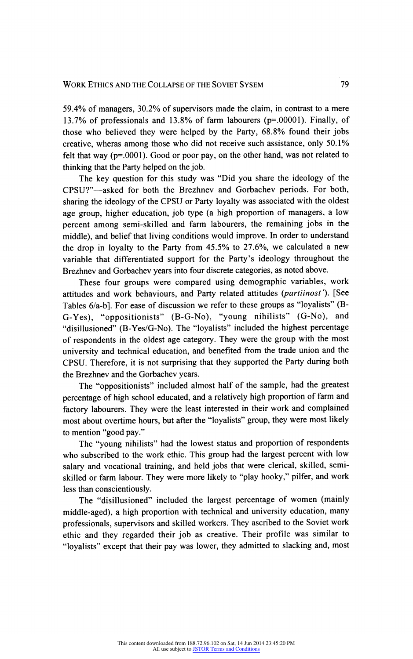59.4% of managers, 30.2% of supervisors made the claim, in contrast to a mere 13.7% of professionals and 13.8% of farm labourers (p=.00001). Finally, of those who believed they were helped by the Party, 68.8% found their jobs creative, wheras among those who did not receive such assistance, only 50.1% felt that way (p=.0001). Good or poor pay, on the other hand, was not related to thinking that the Party helped on the job.

The key question for this study was "Did you share the ideology of the CPSU?"-asked for both the Brezhnev and Gorbachev periods. For both, sharing the ideology of the CPSU or Party loyalty was associated with the oldest age group, higher education, job type (a high proportion of managers, a low percent among semi-skilled and farm labourers, the remaining jobs in the middle), and belief that living conditions would improve. In order to understand the drop in loyalty to the Party from 45.5% to 27.6%, we calculated a new variable that differentiated support for the Party's ideology throughout the Brezhnev and Gorbachev years into four discrete categories, as noted above.

These four groups were compared using demographic variables, work attitudes and work behaviours, and Party related attitudes (partiinost'). [See Tables 6/a-b]. For ease of discussion we refer to these groups as "loyalists" (B-G-Yes), "oppositionists" (B-G-No), "young nihilists" (G-No), and "disillusioned" (B-Yes/G-No). The "loyalists" included the highest percentage of respondents in the oldest age category. They were the group with the most university and technical education, and benefited from the trade union and the CPSU. Therefore, it is not surprising that they supported the Party during both the Brezhnev and the Gorbachev years.

The "oppositionists" included almost half of the sample, had the greatest percentage of high school educated, and a relatively high proportion of farm and factory labourers. They were the least interested in their work and complained most about overtime hours, but after the "loyalists" group, they were most likely to mention "good pay."

The "young nihilists" had the lowest status and proportion of respondents who subscribed to the work ethic. This group had the largest percent with low salary and vocational training, and held jobs that were clerical, skilled, semiskilled or farm labour. They were more likely to "play hooky," pilfer, and work less than conscientiously.

The "disillusioned" included the largest percentage of women (mainly middle-aged), a high proportion with technical and university education, many professionals, supervisors and skilled workers. They ascribed to the Soviet work ethic and they regarded their job as creative. Their profile was similar to "loyalists" except that their pay was lower, they admitted to slacking and, most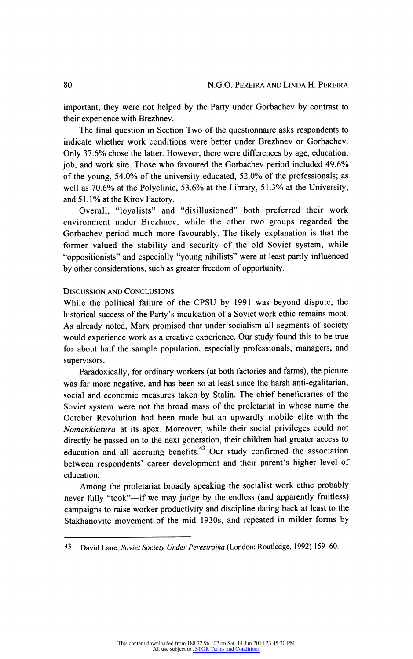important, they were not helped by the Party under Gorbachev by contrast to their experience with Brezhnev.

The final question in Section Two of the questionnaire asks respondents to indicate whether work conditions were better under Brezhnev or Gorbachev. Only 37.6% chose the latter. However, there were differences by age, education, job, and work site. Those who favoured the Gorbachev period included 49.6% of the young, 54.0% of the university educated, 52.0% of the professionals; as well as 70.6% at the Polyclinic, 53.6% at the Library, 51.3% at the University, and 51.1% at the Kirov Factory.

Overall, "loyalists" and "disillusioned" both preferred their work environment under Brezhnev, while the other two groups regarded the Gorbachev period much more favourably. The likely explanation is that the former valued the stability and security of the old Soviet system, while "oppositionists" and especially "young nihilists" were at least partly influenced by other considerations, such as greater freedom of opportunity.

## Discussion and Conclusions

While the political failure of the CPSU by 1991 was beyond dispute, the historical success of the Party's inculcation of a Soviet work ethic remains moot. As already noted, Marx promised that under socialism all segments of society would experience work as a creative experience. Our study found this to be true for about half the sample population, especially professionals, managers, and supervisors.

Paradoxically, for ordinary workers (at both factories and farms), the picture was far more negative, and has been so at least since the harsh anti-egalitarian, social and economic measures taken by Stalin. The chief beneficiaries of the Soviet system were not the broad mass of the proletariat in whose name the October Revolution had been made but an upwardly mobile elite with the Nomenklatura at its apex. Moreover, while their social privileges could not directly be passed on to the next generation, their children had greater access to education and all accruing benefits.<sup>43</sup> Our study confirmed the association between respondents' career development and their parent's higher level of education.

Among the proletariat broadly speaking the socialist work ethic probably never fully "took"-if we may judge by the endless (and apparently fruitless) campaigns to raise worker productivity and discipline dating back at least to the Stakhanovite movement of the mid 1930s, and repeated in milder forms by

<sup>43</sup> David Lane, Soviet Society Under Perestroika (London: Routledge, 1992) 159-60.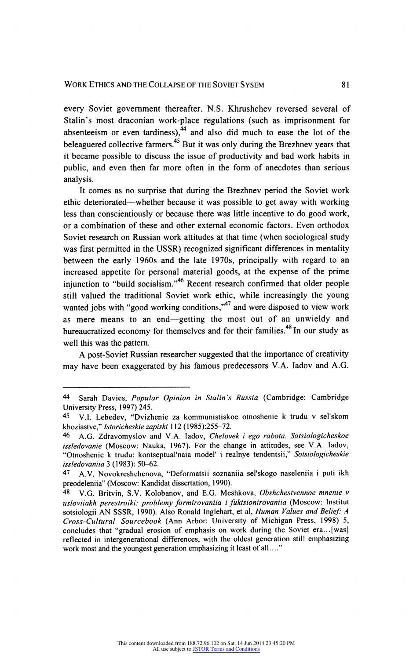every Soviet government thereafter. N.S. Khrushchev reversed several of Stalin's most draconian work-place regulations (such as imprisonment for absenteeism or even tardiness), $44$  and also did much to ease the lot of the beleaguered collective farmers.<sup>45</sup> But it was only during the Brezhnev years that it became possible to discuss the issue of productivity and bad work habits in public, and even then far more often in the form of anecdotes than serious analysis.

It comes as no surprise that during the Brezhnev period the Soviet work ethic deteriorated—whether because it was possible to get away with working less than conscientiously or because there was little incentive to do good work, or a combination of these and other external economic factors. Even orthodox Soviet research on Russian work attitudes at that time (when sociological study was first permitted in the USSR) recognized significant differences in mentality between the early 1960s and the late 1970s, principally with regard to an increased appetite for personal material goods, at the expense of the prime injunction to "build socialism."<sup>46</sup> Recent research confirmed that older people still valued the traditional Soviet work ethic, while increasingly the young wanted jobs with "good working conditions,"<sup>47</sup> and were disposed to view work as mere means to an end-getting the most out of an unwieldy and bureaucratized economy for themselves and for their families.<sup>48</sup> In our study as well this was the pattern.

A post-Soviet Russian researcher suggested that the importance of creativity may have been exaggerated by his famous predecessors V.A. Iadov and A.G.

<sup>44</sup> Sarah Davies, Popular Opinion in Stalin's Russia (Cambridge: Cambridge University Press, 1997) 245.<br>45 V L Lebedev "Dvizh"

<sup>45</sup> V.l. Lebedev, "Dvizhenie za kommunistiskoe otnoshenie k trudu v sel'skom khoziastve," *Istoricheskie zapiski* 112 (1985):255–72.<br>46  $\Delta G$  Zdravomyslov and VA Jadov Chelov

A.G. Zdravomyslov and V.A. Iadov, Chelovek i ego rabota. Sotsiologicheskoe issledovanie (Moscow: Nauka, 1967). For the change in attitudes, see V.A. Iadov, "Otnoshenie k trudu: kontseptual'naia model' i realnye tendentsii," Sotsiologicheskie issledovaniia 3( 1983): 50-62.

<sup>47</sup> A.V. Novokreshchenova, "Deformatsii soznaniia sel'skogo naseleniia i puti ikh preodeleniia" (Moscow: Kandidat dissertation, 1990).<br>48 V.G. Britvin, S.V. Kolobanov, and E.G. Mes

V.G. Britvin, S.V. Kolobanov, and E.G. Meshkova, Obshchestvennoe mnenie v usloviiakh perestroiki: problemy formirovaniia i fuktsionirovaniia (Moscow: Institut sotsiologii AN SSSR, 1990). Also Ronald Inglehart, et al, Human Values and Belief: A Cross-Cultural Sourcebook (Ann Arbor: University of Michigan Press, 1998) 5, concludes that "gradual erosion of emphasis on work during the Soviet era... [was] reflected in intergenerational differences, with the oldest generation still emphasizing work most and the youngest generation emphasizing it least of all. ..."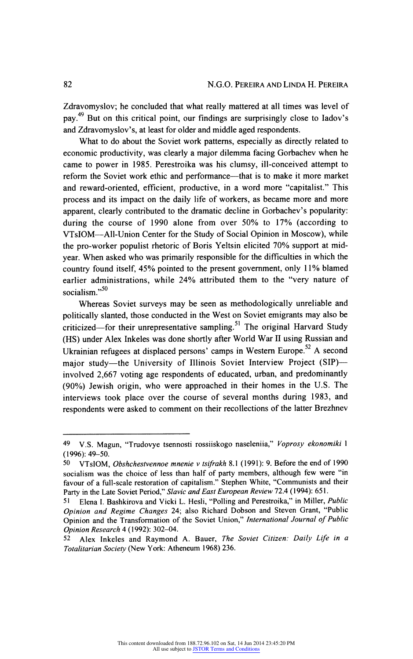Zdravomyslov; he concluded that what really mattered at all times was level of pay.<sup>49</sup> But on this critical point, our findings are surprisingly close to Iadov's and Zdravomyslov's, at least for older and middle aged respondents.

What to do about the Soviet work patterns, especially as directly related to economic productivity, was clearly a major dilemma facing Gorbachev when he came to power in 1985. Perestroika was his clumsy, ill-conceived attempt to reform the Soviet work ethic and performance—that is to make it more market and reward-oriented, efficient, productive, in a word more "capitalist." This process and its impact on the daily life of workers, as became more and more apparent, clearly contributed to the dramatic decline in Gorbachev's popularity: during the course of 1990 alone from over 50% to 17% (according to VTsIOM - All-Union Center for the Study of Social Opinion in Moscow), while the pro-worker populist rhetoric of Boris Yeltsin elicited 70% support at midyear. When asked who was primarily responsible for the difficulties inwhich the country found itself, 45% pointed to the present government, only 11% blamed earlier administrations, while 24% attributed them to the "very nature of socialism."<sup>50</sup>

Whereas Soviet surveys may be seen as methodologically unreliable and politically slanted, those conducted in the West on Soviet emigrants may also be criticized—for their unrepresentative sampling.<sup>51</sup> The original Harvard Study (HS) under Alex Inkeles was done shortly after World War II using Russian and Ukrainian refugees at displaced persons' camps in Western Europe.<sup>52</sup> A second major study-the University of Illinois Soviet Interview Project (SIP)involved 2,667 voting age respondents of educated, urban, and predominantly (90%) Jewish origin, who were approached in their homes in the U.S. The interviews took place over the course of several months during 1983, and respondents were asked to comment on their recollections of the latter Brezhnev

<sup>49</sup> V.S. Magun, "Trudovye tsennosti rossiiskogo naseleniia," Voprosy ekonomiki 1 (1996): 49-50.

VTsIOM, Obshchestvennoe mnenie v tsifrakh 8.1 (1991): 9. Before the end of 1990 socialism was the choice of less than half of party members, although few were "in favour of a full-scale restoration of capitalism." Stephen White, "Communists and their Party in the Late Soviet Period," Slavic and East European Review 72.4 (1994): 651.<br>51 Flena L Bashkirova and Vicki L. Hesli. "Polling and Perestroika." in Miller, J

Elena I. Bashkirova and Vicki L. Hesli, "Polling and Perestroika," in Miller, Public Opinion and Regime Changes 24; also Richard Dobson and Steven Grant, "Public Opinion and the Transformation of the Soviet Union," International Journal of Public Opinion Research 4 (1992): 302-04.

<sup>52</sup> Alex Inkeles and Raymond A. Bauer, The Soviet Citizen: Daily Life in a Totalitarian Society (New York: Atheneum 1968) 236.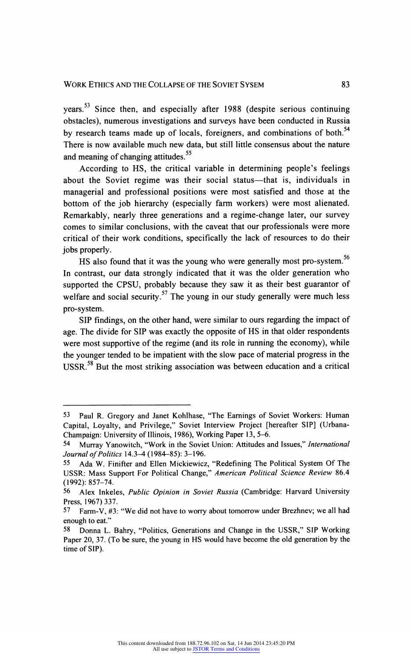years.<sup>53</sup> Since then, and especially after 1988 (despite serious continuing obstacles), numerous investigations and surveys have been conducted in Russia by research teams made up of locals, foreigners, and combinations of both.<sup>54</sup> There is now available much new data, but still little consensus about the nature and meaning of changing attitudes.<sup>55</sup>

According to HS, the critical variable in determining people's feelings about the Soviet regime was their social status-that is, individuals in managerial and professional positions were most satisfied and those at the bottom of the job hierarchy (especially farm workers) were most alienated. Remarkably, nearly three generations and a regime-change later, our survey comes to similar conclusions, with the caveat that our professionals were more critical of their work conditions, specifically the lack of resources to do their jobs properly.

HS also found that it was the young who were generally most pro-system.<sup>56</sup> In contrast, our data strongly indicated that it was the older generation who supported the CPSU, probably because they saw it as their best guarantor of welfare and social security.<sup>57</sup> The young in our study generally were much less pro-system.

SIP findings, on the other hand, were similar to ours regarding the impact of age. The divide for SIP was exactly the opposite of HS in that older respondents were most supportive of the regime (and its role in running the economy), while the younger tended to be impatient with the slow pace of material progress in the USSR.<sup>58</sup> But the most striking association was between education and a critical

<sup>53</sup> Paul R. Gregory and Janet Kohlhase, "The Earnings of Soviet Workers: Human Capital, Loyalty, and Privilege," Soviet Interview Project [hereafter SIP] (Urbana-Champaign: University of Illinois, 1986), Working Paper 13, 5-6.

Murray Yanowitch, "Work in the Soviet Union: Attitudes and Issues," International Journal of Politics 14.3–4 (1984–85): 3–196.<br>55 Ada W Finifter and Ellen Mickiewicz

<sup>55</sup> Ada W. Finifter and Ellen Mickiewicz, "Redefining The Political System Of The USSR: Mass Support For Political Change," American Political Science Review 86.4 (1992): 857-74.

<sup>56</sup> Alex Inkeles, Public Opinion in Soviet Russia (Cambridge: Harvard University Press, 1967) 337.<br>57 Farm-V. #3:

Farm-V, #3: "We did not have to worry about tomorrow under Brezhnev; we all had enough to eat."<br>58 Donna L.

<sup>58</sup> Donna L. Bahry, "Politics, Generations and Change in the USSR," SIP Working Paper 20, 37. (To be sure, the young in HS would have become the old generation by the time of SIP).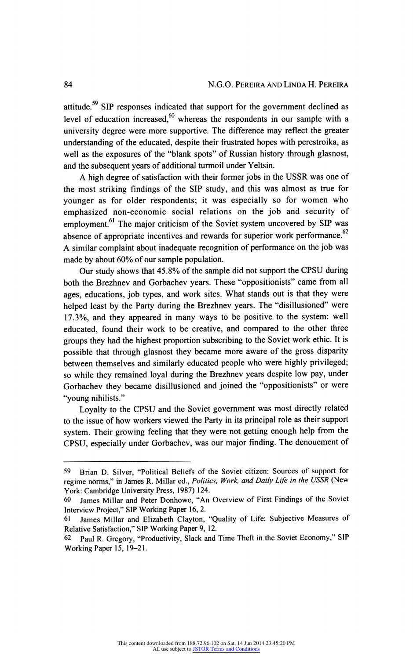attitude.<sup>59</sup> SIP responses indicated that support for the government declined as level of education increased, $60$  whereas the respondents in our sample with a university degree were more supportive. The difference may reflect the greater understanding of the educated, despite their frustrated hopes with perestroika, as well as the exposures of the "blank spots" of Russian history through glasnost, and the subsequent years of additional turmoil under Yeltsin.

A high degree of satisfaction with their former jobs in the USSR was one of the most striking findings of the SIP study, and this was almost as true for younger as for older respondents; it was especially so for women who emphasized non-economic social relations on the job and security of employment.<sup>61</sup> The major criticism of the Soviet system uncovered by SIP was absence of appropriate incentives and rewards for superior work performance.<sup>62</sup> A similar complaint about inadequate recognition of performance on the job was made by about 60% of our sample population.

Our study shows that 45.8% of the sample did not support the CPSU during both the Brezhnev and Gorbachev years. These "oppositionists" came from all ages, educations, job types, and work sites. What stands out is that they were helped least by the Party during the Brezhnev years. The "disillusioned" were 17.3%, and they appeared in many ways to be positive to the system: well educated, found their work to be creative, and compared to the other three groups they had the highest proportion subscribing to the Soviet work ethic. It is possible that through glasnost they became more aware of the gross disparity between themselves and similarly educated people who were highly privileged; so while they remained loyal during the Brezhnev years despite low pay, under Gorbachev they became disillusioned and joined the "oppositionists" or were "young nihilists."

Loyalty to the CPSU and the Soviet government was most directly related to the issue of how workers viewed the Party in its principal role as their support system. Their growing feeling that they were not getting enough help from the CPSU, especially under Gorbachev, was our major finding. The denouement of

<sup>59</sup> Brian D. Silver, "Political Beliefs of the Soviet citizen: Sources of support for regime norms," in James R. Millar ed., Politics, Work, and Daily Life in the USSR (New York: Cambridge University Press, 1987) 124.

James Millar and Peter Donhowe, "An Overview of First Findings of the Soviet Interview Project," SIP Working Paper 16, 2.<br>61 James Millar and Elizabeth Clavton.

James Millar and Elizabeth Clayton, "Quality of Life: Subjective Measures of Relative Satisfaction," SIP Working Paper 9, 12.<br>62 Paul R. Gregory, "Productivity, Slack and

Paul R. Gregory, "Productivity, Slack and Time Theft in the Soviet Economy," SIP Working Paper 15, 19-21.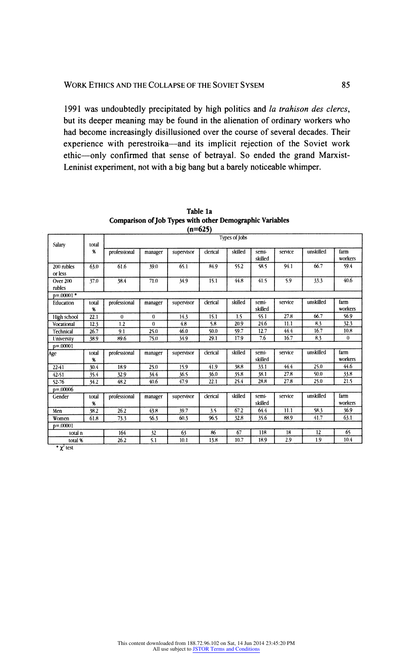1991 was undoubtedly precipitated by high politics and la trahison des clercs, but its deeper meaning may be found in the alienation of ordinary workers who had become increasingly disillusioned over the course of several decades. Their experience with perestroika-and its implicit rejection of the Soviet work ethic-only confirmed that sense of betrayal. So ended the grand Marxist-Leninist experiment, not with a big bang but a barely noticeable whimper.

| Salary                | total                      |              |              |            | - ,      | Types of Jobs |                  |         |           |                 |
|-----------------------|----------------------------|--------------|--------------|------------|----------|---------------|------------------|---------|-----------|-----------------|
|                       | $\boldsymbol{\%}$          | professional | manager      | supervisor | clerical | skilled       | semi-<br>skilled | service | unskilled | farm<br>workers |
| 200 rubles<br>or less | 63.0                       | 61.6         | 39.0         | 65.1       | 84.9     | 55.2          | 58.5             | 94.1    | 66.7      | 59.4            |
| Over 200<br>rubles    | 37.0                       | 38.4         | 71.0         | 34.9       | 15.1     | 44.8          | 41.5             | 5.9     | 33.3      | 40.6            |
| $p = 00001$ *         |                            |              |              |            |          |               |                  |         |           |                 |
| Education             | total<br>%                 | professional | manager      | supervisor | clerical | skilled       | semi-<br>skilled | service | unskilled | farm<br>workers |
| High school           | 22.1                       | $\theta$     | $\mathbf{0}$ | 14.3       | 15.1     | 1.5           | 55.1             | 27.8    | 66.7      | 56.9            |
| Vocational            | 12.3                       | 1.2          | $\mathbf{0}$ | 4.8        | 5.8      | 20.9          | 24.6             | 11.1    | 8.3       | 32.3            |
| Technical             | 26.7                       | 9.1          | 25.0         | 46.0       | 50.0     | 59.7          | 12.7             | 44.4    | 16.7      | 10.8            |
| Universitv            | 38.9                       | 89.6         | 75.0         | 34.9       | 29.1     | 17.9          | 7.6              | 16.7    | 8.3       | $\bf{0}$        |
| $p = 00001$           |                            |              |              |            |          |               |                  |         |           |                 |
| Age                   | total<br>$\boldsymbol{\%}$ | professional | manager      | supervisor | clerical | skilled       | semi-<br>skilled | service | unskilled | farm<br>workers |
| 22-41                 | 30.4                       | 18.9         | 25.0         | 15.9       | 41.9     | 38.8          | 33.1             | 44.4    | 25.0      | 44.6            |
| 42-51                 | 35.4                       | 32.9         | 34.4         | 36.5       | 36.0     | 35.8          | 38.1             | 27.8    | 50.0      | 33.8            |
| $52 - 76$             | 34.2                       | 48.2         | 40.6         | 47.9       | 22.1     | 25.4          | 28.8             | 27.8    | 25.0      | 21.5            |
| $p = 00006$           |                            |              |              |            |          |               |                  |         |           |                 |
| Gender                | total<br>%                 | professional | manager      | supervisor | clerical | skilled       | semi-<br>skilled | service | unskilled | farm<br>workers |
| Men                   | 38.2                       | 26.2         | 43.8         | 39.7       | 3.5      | 67.2          | 64.4             | 11.1    | 58.3      | 36.9            |
| Women                 | 61.8                       | 73.3         | 56.3         | 60.3       | 96.5     | 32.8          | 35.6             | 88.9    | 41.7      | 63.1            |
| $p = 00001$           |                            |              |              |            |          |               |                  |         |           |                 |
| total n               |                            | 164          | 32           | 63         | 86       | 67            | 118              | 18      | 12        | 65              |
| total %               |                            | 26.2         | 5.1          | 10.1       | 13.8     | 10.7          | 18.9             | 2.9     | 1.9       | 10.4            |

Table la Comparison of Job Types with other Demographic Variables  $(n=625)$ 

 $*\chi^2$  test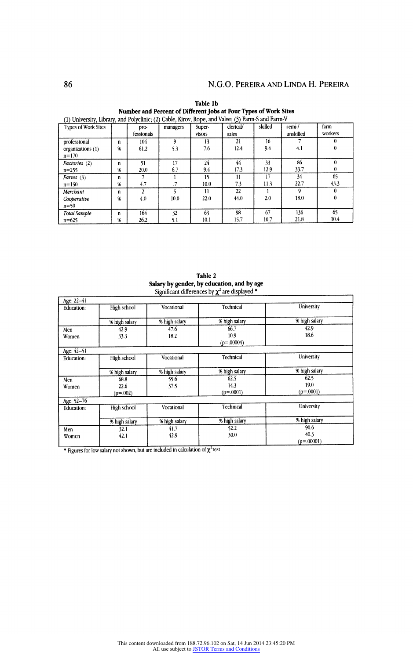| 1) University, Library, and Polyclinic; (2) Cable, Kirov, Rope, and Valve; (3) Farm-S and Farm-V (1) |                   |            |          |                 |           |         |           |          |
|------------------------------------------------------------------------------------------------------|-------------------|------------|----------|-----------------|-----------|---------|-----------|----------|
| <b>Types of Work Sites</b>                                                                           |                   | pro-       | managers | Super-          | clerical/ | skilled | semi-/    | farm     |
|                                                                                                      |                   | fessionals |          | visors          | sales     |         | unskilled | workers  |
| professional                                                                                         | n                 | 104        | 9        | 13              | 21        | 16      |           |          |
| organizations (1)                                                                                    | $\frac{9}{20}$    | 61.2       | 5.3      | 7.6             | 12.4      | 9.4     | 4.1       | 0        |
| $n = 170$                                                                                            |                   |            |          |                 |           |         |           |          |
| Factories (2)                                                                                        | n                 | 51         | 17       | 24              | 44        | 33      | 86        | $\theta$ |
| $n = 255$                                                                                            | $\chi$            | 20.0       | 6.7      | 9.4             | 17.3      | 12.9    | 33.7      | 0        |
| Farms $(3)$                                                                                          | n                 |            |          | 15              | 11        | 17      | 34        | 65       |
| $n = 150$                                                                                            | $\boldsymbol{\%}$ | 4.7        |          | 10.0            | 7.3       | 11.3    | 22.7      | 43.3     |
| Merchant                                                                                             | n                 |            |          | $\overline{11}$ | 22        |         | 9         | $\Omega$ |
| Cooperative                                                                                          | $\chi$            | 4.0        | 10.0     | 22.0            | 44.0      | 2.0     | 18.0      | 0        |
| $n = 50$                                                                                             |                   |            |          |                 |           |         |           |          |
| Total Sample                                                                                         | n                 | 164        | 32       | 63              | 98        | 67      | 136       | 65       |
| $n = 625$                                                                                            | $\boldsymbol{\%}$ | 26.2       | 5.1      | 10.1            | 15.7      | 10.7    | 21.8      | 10.4     |

Table Ib Number and Percent of Different Jobs at Four Types of Work Sites

Table 2 Salary by gender, by education, and by age<br>
Significant differences by  $\chi^2$  are displayed \*

| Age: 22-41   |                    |               |                              |                      |
|--------------|--------------------|---------------|------------------------------|----------------------|
| Education:   | High school        | Vocational    | Technical                    | University           |
|              | % high salary      | % high salary | % high salary                | % high salary        |
| Mcn<br>Women | 42.9<br>33.3       | 47.6<br>18.2  | 66.7<br>10.9<br>$(p=.00004)$ | 42.9<br>18.6         |
| Age: 42-51   |                    |               |                              |                      |
| Education:   | High school        | Vocational    | Technical                    | University           |
|              | % high salary      | % high salary | % high salary                | % high salary        |
| Men          | 68.8               | 55.6          | 62.5                         | 62.5                 |
| Women        | 22.6<br>$(p=.002)$ | 37.5          | 14.3<br>$(p=.0001)$          | 19.0<br>$(p=.0001)$  |
| Age: 52-76   |                    |               |                              |                      |
| Education:   | <b>High school</b> | Vocational    | Technical                    | University           |
|              | % high salary      | % high salary | % high salary                | % high salary        |
| Men          | 32.1               | 41.7          | 52.2                         | 90.6                 |
| Women        | 42.1               | 42.9          | 30.0                         | 40.3<br>$(p=.00001)$ |

Figures for low salary not shown, but are included in calculation of  $\chi^2$  test  $\chi^2$  from  $\chi^2$  from  $\chi^2$  from  $\chi^2$  from  $\chi^2$  from  $\chi^2$  from  $\chi^2$  from  $\chi^2$  from  $\chi^2$  from  $\chi^2$  from  $\chi^2$  from  $\chi^2$  f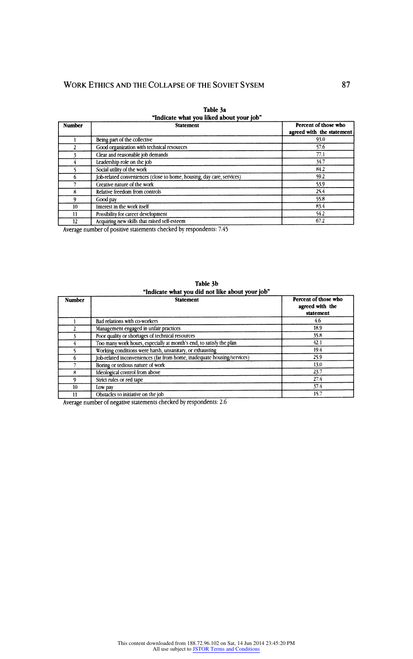## WORK ETHICS AND THE COLLAPSE OF THE SOVIET SYSEM 87

| Number | <b>Statement</b>                                                      | Percent of those who<br>agreed with the statement |
|--------|-----------------------------------------------------------------------|---------------------------------------------------|
|        | Being part of the collective                                          | 93.0                                              |
|        | Good organization with technical resources                            | 57.6                                              |
|        | Clear and reasonable job demands                                      | 77.1                                              |
|        | Leadership role on the job                                            | 34.7                                              |
|        | Social utility of the work                                            | 84.2                                              |
|        | Job-related conveniences (close to home, housing, day care, services) | 59.2                                              |
|        | Creative nature of the work                                           | 53.9                                              |
| 8      | Relative freedom from controls                                        | 25.4                                              |
| 9      | Good pay                                                              | 55.8                                              |
| 10     | Interest in the work itself                                           | 83.4                                              |
| 11     | Possibility for career development                                    | 54.2                                              |
| 12     | Acquiring new skills that raised self-esteem                          | 67.2                                              |

#### Table 3a "Indicate what you liked about your job"

Average number of positive statements checked by respondents: 7.45

| "Indicate what you did not like about your job" |  |          |  |  |  |
|-------------------------------------------------|--|----------|--|--|--|
|                                                 |  | Table 3b |  |  |  |

| <b>Number</b> | <b>Statement</b>                                                        | Percent of those who<br>agreed with the |
|---------------|-------------------------------------------------------------------------|-----------------------------------------|
|               |                                                                         | statement                               |
|               | Bad relations with co-workers                                           | 4.6                                     |
|               | Management engaged in unfair practices                                  | 18.9                                    |
|               | Poor quality or shortages of technical resources                        | 35.8                                    |
|               | Too many work hours, especially at month's end, to satisfy the plan     | 42.1                                    |
|               | Working conditions were harsh, unsanitary, or exhausting                | 19.4                                    |
|               | Job-related inconveniences (far from home, inadequate housing/services) | 25.9                                    |
|               | Boring or tedious nature of work                                        | 13.0                                    |
| я             | Ideological control from above                                          | 23.7                                    |
|               | Strict rules or red tape                                                | 27.4                                    |
| 10            | Low pay                                                                 | 37.4                                    |
|               | Obstacles to initiative on the job                                      | 15.7                                    |

Average number of negative statements checked by respondents: 2.6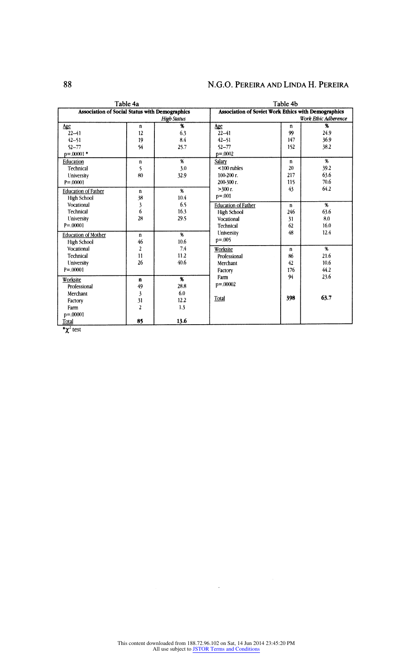|                                                | Table 4a                |                           |                                                     | Table 4b     |                         |
|------------------------------------------------|-------------------------|---------------------------|-----------------------------------------------------|--------------|-------------------------|
| Association of Social Status with Demographics |                         | <b>High Status</b>        | Association of Soviet Work Ethics with Demographics |              | Work Ethic Adherence    |
| <u>Age</u>                                     | n                       | $\overline{\mathbf{z}}$   | Age                                                 | n            | $\boldsymbol{\%}$       |
| $22 - 41$                                      | 12                      | 6.3                       | $22 - 41$                                           | 99           | 24.9                    |
| $42 - 51$                                      | 19                      | 8.4                       | $42 - 51$                                           | 147          | 36.9                    |
| $52 - 77$                                      | 54                      | 25.7                      | $52 - 77$                                           | 152          | 38.2                    |
| $p=.00001*$                                    |                         |                           | $p = 0.002$                                         |              |                         |
| Education                                      | $\mathbf n$             | $\boldsymbol{\mathsf{R}}$ | Salary                                              | n            | $\boldsymbol{\%}$       |
| Technical                                      | 5                       | 3.0                       | $<$ 100 rubles                                      | 20           | 39.2                    |
| University                                     | 80                      | 32.9                      | 100-200 г.                                          | 217          | 63.6                    |
| $P = 00001$                                    |                         |                           | 200-300 г.                                          | 115          | 70.6                    |
| <b>Education of Father</b>                     | $\mathbf n$             | $\boldsymbol{\%}$         | $>300$ r.                                           | 43           | 64.2                    |
| High School                                    | 38                      | 10.4                      | $p = 0.001$                                         |              |                         |
| Vocational                                     | $\overline{\mathbf{3}}$ | 6.5                       | <b>Education of Father</b>                          | $\mathbf{n}$ | $\overline{\mathbf{z}}$ |
| Technical                                      | 6                       | 16.3                      | High School                                         | 246          | 63.6                    |
| University                                     | 28                      | 29.5                      | Vocational                                          | 31           | 8.0                     |
| $P = 00001$                                    |                         |                           | Technical                                           | 62           | 16.0                    |
| <b>Education of Mother</b>                     | $\mathbf{n}$            | $\overline{\mathbf{8}}$   | University                                          | 48           | 12.4                    |
| <b>High School</b>                             | 46                      | 10.6                      | $p = 0.005$                                         |              |                         |
| Vocational                                     | $\overline{\mathbf{c}}$ | 7.4                       | Worksite                                            | $\mathbf n$  | $\overline{\mathbf{z}}$ |
| Technical                                      | 11                      | 11.2                      | Professional                                        | 86           | 21.6                    |
| University                                     | 26                      | 40.6                      | Merchant                                            | 42           | 10.6                    |
| $P = 00001$                                    |                         |                           | Factory                                             | 176          | 44.2                    |
|                                                |                         |                           | Farm                                                | 94           | 23.6                    |
| Worksite                                       | n                       | $\boldsymbol{\kappa}$     | $p = 00002$                                         |              |                         |
| Professional                                   | 49                      | 28.8                      |                                                     |              |                         |
| Merchant                                       | $\overline{\mathbf{3}}$ | 6.0                       | Total                                               | 398          | 63.7                    |
| Factory                                        | 31                      | 12.2                      |                                                     |              |                         |
| Farm                                           | $\overline{2}$          | 1.3                       |                                                     |              |                         |
| $p = 00001$                                    |                         |                           |                                                     |              |                         |
| Total<br>$k_2$ $k_3$                           | 85                      | 13.6                      |                                                     |              |                         |

 $\chi^2$  test

 $\sim 10$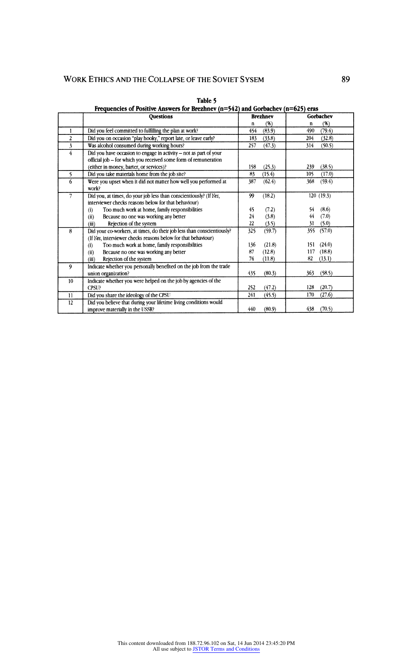## WORK ETHICS AND THE COLLAPSE OF THE SOVIET SYSEM 89

|                | <b>Questions</b>                                                                                                                       | <b>Brezhnev</b> | Gorbachev     |
|----------------|----------------------------------------------------------------------------------------------------------------------------------------|-----------------|---------------|
|                |                                                                                                                                        | (%)<br>n        | (96)<br>n     |
|                | Did you feel committed to fulfilling the plan at work?                                                                                 | (83.9)<br>454   | 490<br>(79.4) |
| $\overline{c}$ | Did you on occasion "play hooky," report late, or leave early?                                                                         | (33.8)<br>183   | 204<br>(32.8) |
| 3              | Was alcohol consumed during working hours?                                                                                             | (47.3)<br>257   | 314<br>(50.5) |
| 4              | Did you have occasion to engage in activity $-$ not as part of your<br>official job - for which you received some form of remuneration |                 |               |
|                | (either in money, barter, or services)?                                                                                                | (25.3)<br>158   | (38.5)<br>239 |
| 5              | Did you take materials home from the job site?                                                                                         | 83<br>(15.4)    | 105<br>(17.0) |
| 6              | Were you upset when it did not matter how well you performed at                                                                        | (62.4)          | 368           |
|                | work?                                                                                                                                  | 387             | (59.4)        |
| 7              | Did you, at times, do your job less than conscientiously? (If Yes,<br>interviewer checks reasons below for that behaviour)             | (18.2)<br>99    | 120(19.3)     |
|                | Too much work at home, family responsibilities                                                                                         | (7.2)           | (8.6)         |
|                | (i)                                                                                                                                    | 45              | 54            |
|                | Because no one was working any better                                                                                                  | 24              | 44            |
|                | (ii)                                                                                                                                   | (3.8)           | (7.0)         |
|                | Rejection of the system                                                                                                                | 22              | (5.0)         |
|                | (iii)                                                                                                                                  | (3.5)           | 31            |
| 8              | Did your co-workers, at times, do their job less than conscientiously?                                                                 | 325             | (57.0)        |
|                | (If Yes, interviewer checks reasons below for that behaviour)                                                                          | (59.7)          | 355           |
|                | Too much work at home, family responsibilities                                                                                         | (21.8)          | (24.0)        |
|                | (i)                                                                                                                                    | 136             | 151           |
|                | Because no one was working any better                                                                                                  | 87              | (18.8)        |
|                | (ii)                                                                                                                                   | (12.8)          | 117           |
|                | Rejection of the system                                                                                                                | 74              | 82            |
|                | (iii)                                                                                                                                  | (11.8)          | (13.1)        |
| 9              | Indicate whether you personally benefited on the job from the trade                                                                    | 435             | 363           |
|                | union organization?                                                                                                                    | (80.3)          | (58.5)        |
| 10             | Indicate whether you were helped on the job by agencies of the                                                                         | (47.2)          | 128           |
|                | CPSU?                                                                                                                                  | 252             | (20.7)        |
| 11             | Did you share the ideology of the CPSU                                                                                                 | 241<br>(45.5)   | 170<br>(27.6) |
| 12             | Did you believe that during your lifetime living conditions would                                                                      | (80.9)          | 438           |
|                | improve materially in the USSR?                                                                                                        | 440             | (70.5)        |

Table 5 Frequencies of Positive Answers for Brezhnev (n=542) and Gorbachev (n=625) eras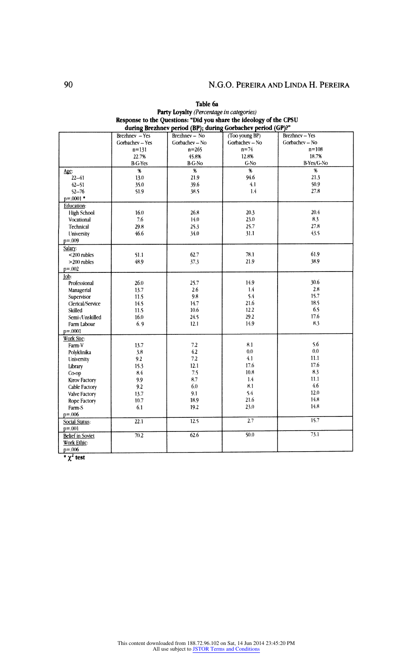|                         | Brezhnev - Yes    | Brezhnev - No            | (Too young BP)    | Brezhnev - Yes    |
|-------------------------|-------------------|--------------------------|-------------------|-------------------|
|                         | Gorbachev - Yes   | Gorbachev - No           | Gorbachev -- No   | Gorbachev -- No   |
|                         | $n = 131$         | $n = 265$                | $n = 74$          | $n = 108$         |
|                         | 22.7%             | 45.8%                    | 12.8%             | 18.7%             |
|                         | B-G-Yes           | B-G-No                   | G-No              | B-Yes/G-No        |
| Age:                    | $\boldsymbol{\%}$ | $\overline{\mathcal{K}}$ | $\boldsymbol{\%}$ | $\boldsymbol{\%}$ |
| $22 - 41$               | 13.0              | 21.9                     | 94.6              | 21.3              |
| $42 - 51$               | 35.0              | 39.6                     | 4.1               | 50.9              |
| $52 - 76$               | 51.9              | 38.5                     | 1.4               | 27.8              |
| $p = 0.0001$ *          |                   |                          |                   |                   |
|                         |                   |                          |                   |                   |
| Education:              |                   |                          |                   | 20.4              |
| High School             | 16.0              | 26.8                     | 20.3              |                   |
| Vocational              | 7.6               | 14.0                     | 23.0              | 8.3               |
| Technical               | 29.8              | 25.3                     | 25.7              | 27.8              |
| University              | 46.6              | 34.0                     | 31.1              | 43.5              |
| $p = 0.09$              |                   |                          |                   |                   |
| Salary:                 |                   |                          |                   |                   |
| $<$ 200 rubles          | 51.1              | 62.7                     | 78.1              | 61.9              |
| $>200$ rubles           | 48.9              | 37.3                     | 21.9              | 38.9              |
| $p = 0.002$             |                   |                          |                   |                   |
| lob:                    |                   |                          |                   |                   |
| Professional            | 26.0              | 25.7                     | 14.9              | 30.6              |
| Managerial              | 13.7              | 2.6                      | 1.4               | 2.8               |
| Supervisor              | 11.5              | 9.8                      | 5.4               | 15.7              |
| Clerical/Service        | 14.5              | 14.7                     | 21.6              | 18.5              |
| Skilled                 | 11.5              | 10.6                     | 12.2              | 6.5               |
| Semi-/Unskilled         | 16.0              | 24.5                     | 29.2              | 17.6              |
| Farm Labour             | 6.9               | 12.1                     | 14.9              | 8.3               |
| $p = 0001$              |                   |                          |                   |                   |
| Work Site:              |                   |                          |                   |                   |
| Farm-V                  | 13.7              | 7.2                      | 8.1               | 5.6               |
| Polyklinika             | 3.8               | 4.2                      | 0.0               | 0.0               |
|                         | 9.2               | 7.2                      | 4.1               | 11.1              |
| University              | 15.3              | 12.1                     | 17.6              | 17.6              |
| Library                 |                   |                          | 10.8              | 8.3               |
| $Co$ -op                | 8.4               | 7.5                      |                   | 11.1              |
| Kirov Factory           | 9.9               | 8.7                      | 1.4<br>8.1        | 4.6               |
| Cable Factory           | 9.2               | 6.0                      |                   |                   |
| Valve Factory           | 13.7              | 9.1                      | 5.4               | 12.0<br>14.8      |
| Rope Factory            | 10.7              | 18.9                     | 21.6              |                   |
| Farm-S                  | 6.1               | 19.2                     | 23.0              | 14.8              |
| $p = 0.06$              |                   |                          |                   |                   |
| Social Status:          | 22.1              | 12.5                     | 2.7               | 15.7              |
| $p = .001$              |                   |                          |                   |                   |
| <b>Belief</b> in Soviet | 70.2              | 62.6                     | 50.0              | 73.1              |
| Work Ethic:             |                   |                          |                   |                   |
| $p = 0.06$              |                   |                          |                   |                   |

#### Table 6a Party Loyalty (Percentage in categories) Response to the Questions: "Did you share the ideology of the CPSU during Brezhnev period (BP); during Gorbachev period (GP)?"

\* $\chi^2$  test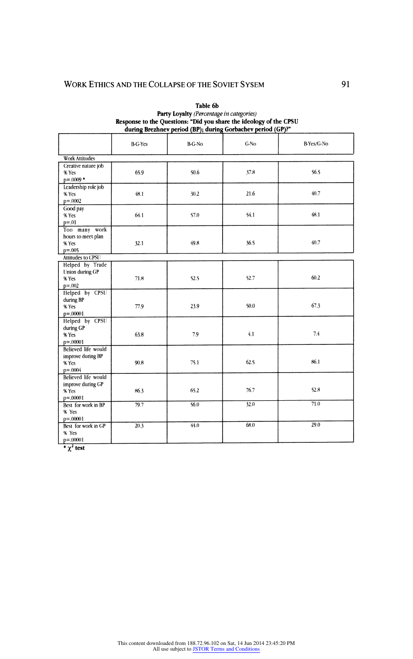## WORK ETHICS AND THE COLLAPSE OF THE SOVIET SYSEM 91

## Table 6b Party Loyalty (Percentage in categories) Response to the Questions: "Did you share the ideology of the CPSU<br>during Brezhnev period (BP); during Gorbachev period (GP)?"

|                                                                  | B-G-Yes | B-G-No | $G-NO$ | B-Yes/G-No |
|------------------------------------------------------------------|---------|--------|--------|------------|
| <b>Work Attitudes</b>                                            |         |        |        |            |
| Creative nature job<br>% Yes<br>$p = .0009$ *                    | 65.9    | 50.6   | 37.8   | 56.5       |
| Leadership role job<br>% Yes<br>$p = 0.0002$                     | 48.1    | 30.2   | 21.6   | 40.7       |
| Good pay<br>% Yes<br>$p = 01$                                    | 64.1    | 57.0   | 54.1   | 48.1       |
| Too many work<br>hours to meet plan<br>% Yes<br>$p = 0.005$      | 32.1    | 49.8   | 36.5   | 40.7       |
| Attitudes to CPSU                                                |         |        |        |            |
| Helped by Trade<br>Union during GP<br>% Yes<br>$p = .002$        | 71.8    | 52.5   | 52.7   | 60.2       |
| Helped by CPSU<br>during BP<br>% Yes<br>$p = 00001$              | 77.9    | 23.9   | 50.0   | 67.3       |
| Helped by CPSU<br>during GP<br>% Yes<br>$p = 00001$              | 63.8    | 7.9    | 4.1    | 7.4        |
| Believed life would<br>improve during BP<br>% Yes<br>$p = 0004$  | 90.8    | 75.1   | 62.5   | 86.1       |
| Believed life would<br>improve during GP<br>% Yes<br>$p = 00001$ | 86.3    | 65.2   | 76.7   | 52.8       |
| Best for work in BP<br>% Yes<br>$p = 00001$                      | 79.7    | 56.0   | 32.0   | 71.0       |
| Best for work in GP<br>% Yes<br>$p = .00001$                     | 20.3    | 44.0   | 68.0   | 29.0       |

\* $\chi^2$  test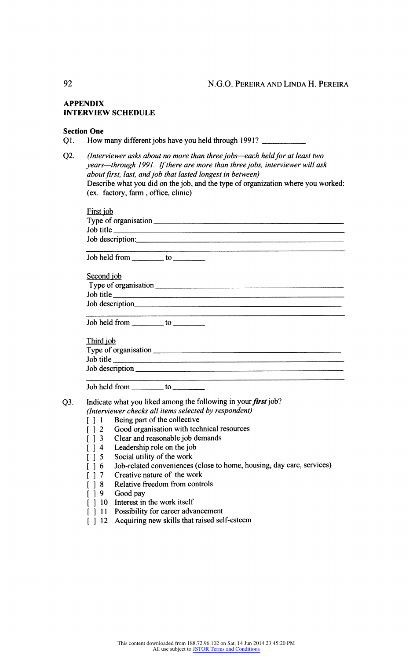#### **APPENDIX** INTERVIEW SCHEDULE

# Section One<br>O1. How

How many different jobs have you held through 1991?

Q2. (Interviewer asks about no more than three jobs-each held for at least two years-through 1991. If there are more than three jobs, interviewer will ask about first, last, and job that lasted longest in between) Describe what you did on the job, and the type of organization where you worked: (ex. factory, farm , office, clinic)

| First job                                 | Job description: |
|-------------------------------------------|------------------|
| Job held from __________ to _________     |                  |
| Second job                                |                  |
| Job held from ___________ to ____________ |                  |
| Third job                                 | Job description  |
| Job held from _________ to _________      |                  |

## Q3. Indicate what you liked among the following in your *first* job?

- (Interviewer checks all items selected by respondent)<br> $[ ] 1$  Being part of the collective
- [ ] 1 Being part of the collective<br>[ ] 2 Good organisation with tech
- [ ] 2 Good organisation with technical resources<br>[ ] 3 Clear and reasonable job demands
- [ ] 3 Clear and reasonable job demands<br>[ ] 4 Leadership role on the job
- [ ] 4 Leadership role on the job<br>[ ] 5 Social utility of the work
- [ ] 5 Social utility of the work<br>[ ] 6 Job-related conveniences
- [ ] 6 Job-related conveniences (close to home, housing, day care, services)<br>[ ] 7 Creative nature of the work
- [ ] 7 Creative nature of the work<br>[ ] 8 Relative freedom from contra
- [ ] 8 Relative freedom from controls<br>[ ] 9 Good pay
- Good pay
- $\begin{bmatrix} 1 & 10 \end{bmatrix}$  Interest in the work itself
- [ ] 11 Possibility for career advancement
- [ ] 12 Acquiring new skills that raised self-esteem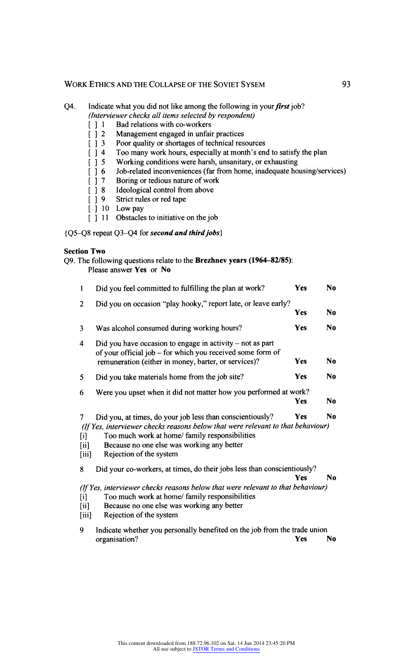## WORK ETHICS AND THE COLLAPSE OF THE SOVIET SYSEM 93

Q4. Indicate what you did not like among the following in your first job?

- (Interviewer checks all items selected by respondent)<br> $\begin{bmatrix} 1 & 1 \end{bmatrix}$  Bad relations with co-workers
- [ ] 1 Bad relations with co-workers<br>[ ] 2 Management engaged in unfail
- [ ] 2 Management engaged in unfair practices<br>[ ] 3 Poor quality or shortages of technical res
- [ ] 3 Poor quality or shortages of technical resources<br>[ ] 4 Too many work hours, especially at month's en
- $\begin{bmatrix} 1 & 4 & 7 \end{bmatrix}$  Too many work hours, especially at month's end to satisfy the plan  $\begin{bmatrix} 1 & 5 & 6 \end{bmatrix}$  Working conditions were harsh, unsanitary, or exhausting
- [ ] 5 Working conditions were harsh, unsanitary, or exhausting<br>[ ] 6 Job-related inconveniences (far from home, inadequate ho [ ] 6 Job-related inconveniences (far from home, inadequate housing/services)<br>[ ] 7 Boring or tedious nature of work
	-
- [ ] 7 Boring or tedious nature of work<br>[ ] 8 Ideological control from above [ ] 8 Ideological control from above<br>[ ] 9 Strict rules or red tape
	- Strict rules or red tape
- [ ] 10 Low pay
- [ ] 11 Obstacles to initiative on the job

{Q5-Q8 repeat Q3-Q4 for second and third jobs}

#### Section Two

```
Q9. The following questions relate to the Brezhnev years (1964-82/85): 
       Please answer Yes or No
```

| 1                                               | Did you feel committed to fulfilling the plan at work?                                                                                                                                                                                                                                           | <b>Yes</b> | N <sub>0</sub> |  |  |  |
|-------------------------------------------------|--------------------------------------------------------------------------------------------------------------------------------------------------------------------------------------------------------------------------------------------------------------------------------------------------|------------|----------------|--|--|--|
| 2                                               | Did you on occasion "play hooky," report late, or leave early?                                                                                                                                                                                                                                   | <b>Yes</b> | No.            |  |  |  |
| 3                                               | Was alcohol consumed during working hours?                                                                                                                                                                                                                                                       | <b>Yes</b> | N <sub>0</sub> |  |  |  |
| 4                                               | Did you have occasion to engage in activity $-$ not as part<br>of your official job – for which you received some form of<br>remuneration (either in money, barter, or services)?                                                                                                                | <b>Yes</b> | N <sub>0</sub> |  |  |  |
| 5                                               | Did you take materials home from the job site?                                                                                                                                                                                                                                                   | Yes        | No             |  |  |  |
| 6                                               | Were you upset when it did not matter how you performed at work?                                                                                                                                                                                                                                 | Yes        | N <sub>0</sub> |  |  |  |
| 7<br>$[$ i]<br>$\overline{\text{iii}}$<br>[iii] | N <sub>0</sub><br>Did you, at times, do your job less than conscientiously?<br>Yes<br>(If Yes, interviewer checks reasons below that were relevant to that behaviour)<br>Too much work at home/ family responsibilities<br>Because no one else was working any better<br>Rejection of the system |            |                |  |  |  |
| 8<br>[i]<br>$\left[ \text{ii} \right]$<br>[iii] | Did your co-workers, at times, do their jobs less than conscientiously?<br>(If Yes, interviewer checks reasons below that were relevant to that behaviour)<br>Too much work at home/ family responsibilities<br>Because no one else was working any better<br>Rejection of the system            | <b>Yes</b> | No.            |  |  |  |
| 9                                               | Indicate whether you personally benefited on the job from the trade union<br>organisation?                                                                                                                                                                                                       | Yes        | No             |  |  |  |